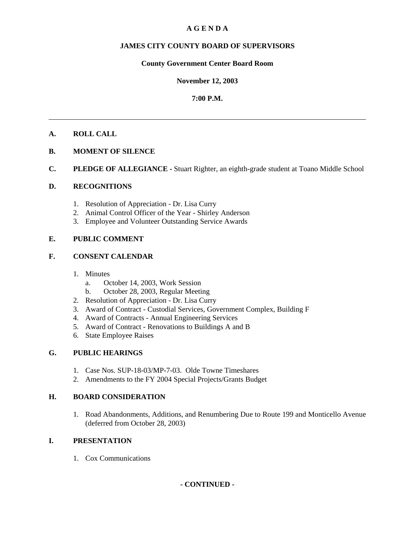#### **A G E N D A**

#### **JAMES CITY COUNTY BOARD OF SUPERVISORS**

#### **County Government Center Board Room**

#### **November 12, 2003**

#### **7:00 P.M.**

#### **A. ROLL CALL**

- **B. MOMENT OF SILENCE**
- **C. PLEDGE OF ALLEGIANCE** Stuart Righter, an eighth-grade student at Toano Middle School

#### **D. RECOGNITIONS**

- 1. Resolution of Appreciation Dr. Lisa Curry
- 2. Animal Control Officer of the Year Shirley Anderson
- 3. Employee and Volunteer Outstanding Service Awards

#### **E. PUBLIC COMMENT**

#### **F. CONSENT CALENDAR**

- 1. Minutes
	- a. October 14, 2003, Work Session
	- b. October 28, 2003, Regular Meeting
- 2. Resolution of Appreciation Dr. Lisa Curry
- 3. Award of Contract Custodial Services, Government Complex, Building F
- 4. Award of Contracts Annual Engineering Services
- 5. Award of Contract Renovations to Buildings A and B
- 6. State Employee Raises

#### **G. PUBLIC HEARINGS**

- 1. Case Nos. SUP-18-03/MP-7-03. Olde Towne Timeshares
- 2. Amendments to the FY 2004 Special Projects/Grants Budget

#### **H. BOARD CONSIDERATION**

1. Road Abandonments, Additions, and Renumbering Due to Route 199 and Monticello Avenue (deferred from October 28, 2003)

#### **I. PRESENTATION**

1. Cox Communications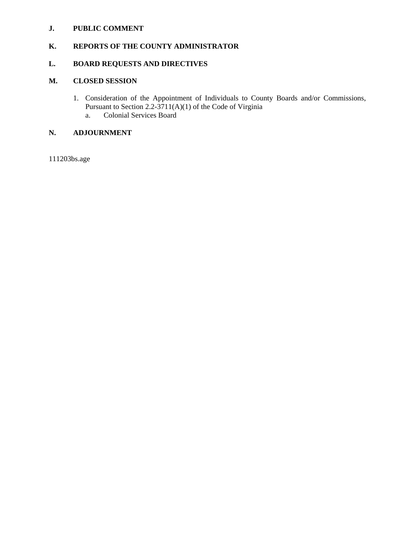#### **J. PUBLIC COMMENT**

### **K. REPORTS OF THE COUNTY ADMINISTRATOR**

#### **L. BOARD REQUESTS AND DIRECTIVES**

#### **M. CLOSED SESSION**

- 1. Consideration of the Appointment of Individuals to County Boards and/or Commissions, Pursuant to Section 2.2-3711(A)(1) of the Code of Virginia
	- a. Colonial Services Board

#### **N. ADJOURNMENT**

111203bs.age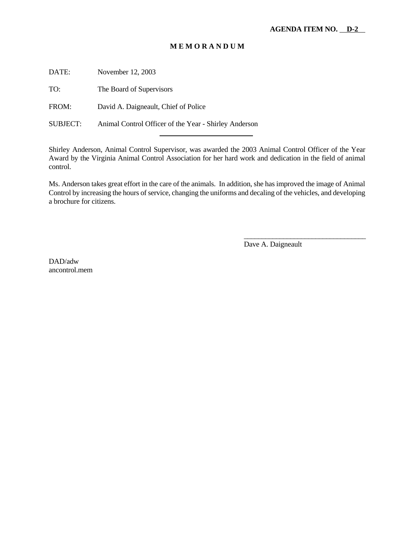#### **M E M O R A N D U M**

DATE: November 12, 2003

TO: The Board of Supervisors

FROM: David A. Daigneault, Chief of Police

SUBJECT: Animal Control Officer of the Year - Shirley Anderson

l

Shirley Anderson, Animal Control Supervisor, was awarded the 2003 Animal Control Officer of the Year Award by the Virginia Animal Control Association for her hard work and dedication in the field of animal control.

Ms. Anderson takes great effort in the care of the animals. In addition, she has improved the image of Animal Control by increasing the hours of service, changing the uniforms and decaling of the vehicles, and developing a brochure for citizens.

Dave A. Daigneault

\_\_\_\_\_\_\_\_\_\_\_\_\_\_\_\_\_\_\_\_\_\_\_\_\_\_\_\_\_\_\_\_\_\_

DAD/adw ancontrol.mem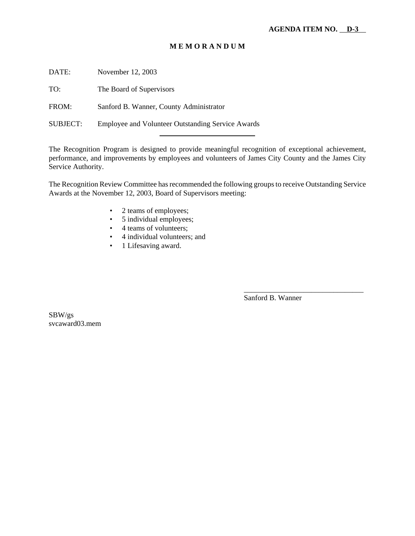#### **M E M O R A N D U M**

DATE: November 12, 2003

TO: The Board of Supervisors

FROM: Sanford B. Wanner, County Administrator

SUBJECT: Employee and Volunteer Outstanding Service Awards

l

The Recognition Program is designed to provide meaningful recognition of exceptional achievement, performance, and improvements by employees and volunteers of James City County and the James City Service Authority.

The Recognition Review Committee has recommended the following groups to receive Outstanding Service Awards at the November 12, 2003, Board of Supervisors meeting:

- 2 teams of employees;
- 5 individual employees;
- 4 teams of volunteers:
- 4 individual volunteers; and
- 1 Lifesaving award.

Sanford B. Wanner

\_\_\_\_\_\_\_\_\_\_\_\_\_\_\_\_\_\_\_\_\_\_\_\_\_\_\_\_\_\_\_\_

SBW/gs svcaward03.mem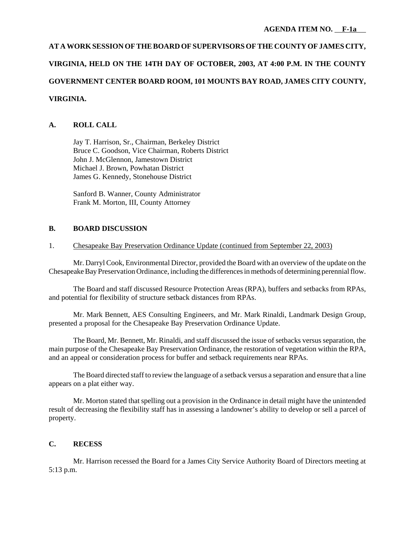## **AT A WORK SESSION OF THE BOARD OF SUPERVISORS OF THE COUNTY OF JAMES CITY,**

### **VIRGINIA, HELD ON THE 14TH DAY OF OCTOBER, 2003, AT 4:00 P.M. IN THE COUNTY**

#### **GOVERNMENT CENTER BOARD ROOM, 101 MOUNTS BAY ROAD, JAMES CITY COUNTY,**

#### **VIRGINIA.**

#### **A. ROLL CALL**

Jay T. Harrison, Sr., Chairman, Berkeley District Bruce C. Goodson, Vice Chairman, Roberts District John J. McGlennon, Jamestown District Michael J. Brown, Powhatan District James G. Kennedy, Stonehouse District

Sanford B. Wanner, County Administrator Frank M. Morton, III, County Attorney

#### **B. BOARD DISCUSSION**

#### 1. Chesapeake Bay Preservation Ordinance Update (continued from September 22, 2003)

Mr. Darryl Cook, Environmental Director, provided the Board with an overview of the update on the Chesapeake Bay Preservation Ordinance, including the differences in methods of determining perennial flow.

The Board and staff discussed Resource Protection Areas (RPA), buffers and setbacks from RPAs, and potential for flexibility of structure setback distances from RPAs.

Mr. Mark Bennett, AES Consulting Engineers, and Mr. Mark Rinaldi, Landmark Design Group, presented a proposal for the Chesapeake Bay Preservation Ordinance Update.

The Board, Mr. Bennett, Mr. Rinaldi, and staff discussed the issue of setbacks versus separation, the main purpose of the Chesapeake Bay Preservation Ordinance, the restoration of vegetation within the RPA, and an appeal or consideration process for buffer and setback requirements near RPAs.

The Board directed staff to review the language of a setback versus a separation and ensure that a line appears on a plat either way.

Mr. Morton stated that spelling out a provision in the Ordinance in detail might have the unintended result of decreasing the flexibility staff has in assessing a landowner's ability to develop or sell a parcel of property.

#### **C. RECESS**

Mr. Harrison recessed the Board for a James City Service Authority Board of Directors meeting at 5:13 p.m.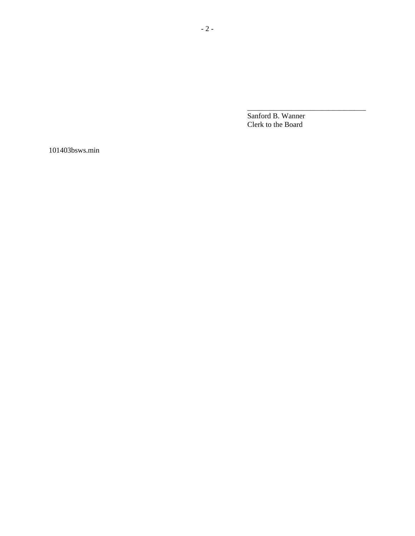Sanford B. Wanner Clerk to the Board

\_\_\_\_\_\_\_\_\_\_\_\_\_\_\_\_\_\_\_\_\_\_\_\_\_\_\_\_\_\_\_\_

101403bsws.min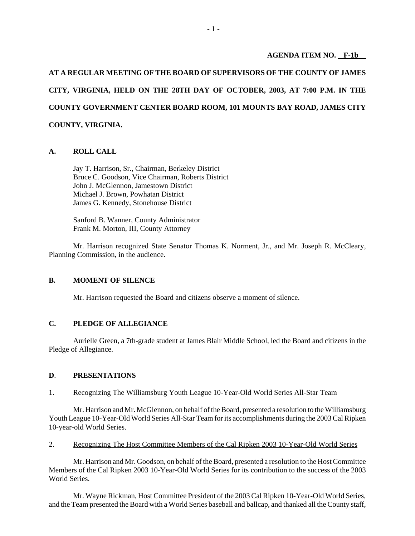#### **AGENDA ITEM NO. F-1b**

**AT A REGULAR MEETING OF THE BOARD OF SUPERVISORS OF THE COUNTY OF JAMES CITY, VIRGINIA, HELD ON THE 28TH DAY OF OCTOBER, 2003, AT 7:00 P.M. IN THE COUNTY GOVERNMENT CENTER BOARD ROOM, 101 MOUNTS BAY ROAD, JAMES CITY COUNTY, VIRGINIA.**

#### **A. ROLL CALL**

Jay T. Harrison, Sr., Chairman, Berkeley District Bruce C. Goodson, Vice Chairman, Roberts District John J. McGlennon, Jamestown District Michael J. Brown, Powhatan District James G. Kennedy, Stonehouse District

Sanford B. Wanner, County Administrator Frank M. Morton, III, County Attorney

Mr. Harrison recognized State Senator Thomas K. Norment, Jr., and Mr. Joseph R. McCleary, Planning Commission, in the audience.

#### **B. MOMENT OF SILENCE**

Mr. Harrison requested the Board and citizens observe a moment of silence.

#### **C. PLEDGE OF ALLEGIANCE**

Aurielle Green, a 7th-grade student at James Blair Middle School, led the Board and citizens in the Pledge of Allegiance.

#### **D**. **PRESENTATIONS**

#### 1. Recognizing The Williamsburg Youth League 10-Year-Old World Series All-Star Team

Mr. Harrison and Mr. McGlennon, on behalf of the Board, presented a resolution to the Williamsburg Youth League 10-Year-Old World Series All-Star Team for its accomplishments during the 2003 Cal Ripken 10-year-old World Series.

2. Recognizing The Host Committee Members of the Cal Ripken 2003 10-Year-Old World Series

Mr. Harrison and Mr. Goodson, on behalf of the Board, presented a resolution to the Host Committee Members of the Cal Ripken 2003 10-Year-Old World Series for its contribution to the success of the 2003 World Series.

Mr. Wayne Rickman, Host Committee President of the 2003 Cal Ripken 10-Year-Old World Series, and the Team presented the Board with a World Series baseball and ballcap, and thanked all the County staff,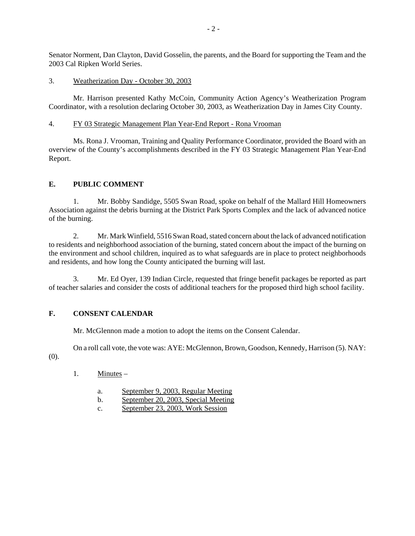Senator Norment, Dan Clayton, David Gosselin, the parents, and the Board for supporting the Team and the 2003 Cal Ripken World Series.

#### 3. Weatherization Day - October 30, 2003

Mr. Harrison presented Kathy McCoin, Community Action Agency's Weatherization Program Coordinator, with a resolution declaring October 30, 2003, as Weatherization Day in James City County.

#### 4. FY 03 Strategic Management Plan Year-End Report - Rona Vrooman

Ms. Rona J. Vrooman, Training and Quality Performance Coordinator, provided the Board with an overview of the County's accomplishments described in the FY 03 Strategic Management Plan Year-End Report.

#### **E. PUBLIC COMMENT**

1. Mr. Bobby Sandidge, 5505 Swan Road, spoke on behalf of the Mallard Hill Homeowners Association against the debris burning at the District Park Sports Complex and the lack of advanced notice of the burning.

2. Mr. Mark Winfield, 5516 Swan Road, stated concern about the lack of advanced notification to residents and neighborhood association of the burning, stated concern about the impact of the burning on the environment and school children, inquired as to what safeguards are in place to protect neighborhoods and residents, and how long the County anticipated the burning will last.

3. Mr. Ed Oyer, 139 Indian Circle, requested that fringe benefit packages be reported as part of teacher salaries and consider the costs of additional teachers for the proposed third high school facility.

#### **F. CONSENT CALENDAR**

Mr. McGlennon made a motion to adopt the items on the Consent Calendar.

On a roll call vote, the vote was: AYE: McGlennon, Brown, Goodson, Kennedy, Harrison (5). NAY:

(0).

- 1. Minutes
	- a. September 9, 2003, Regular Meeting
	- b. September 20, 2003, Special Meeting
	- c. September 23, 2003, Work Session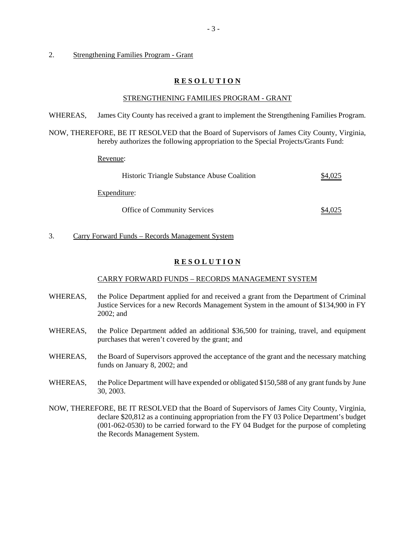#### 2. Strengthening Families Program - Grant

#### **R E S O L U T I O N**

#### STRENGTHENING FAMILIES PROGRAM - GRANT

WHEREAS, James City County has received a grant to implement the Strengthening Families Program.

NOW, THEREFORE, BE IT RESOLVED that the Board of Supervisors of James City County, Virginia, hereby authorizes the following appropriation to the Special Projects/Grants Fund:

Revenue:

| Historic Triangle Substance Abuse Coalition |         |
|---------------------------------------------|---------|
| Expenditure:                                |         |
| <b>Office of Community Services</b>         | \$4,025 |

3. Carry Forward Funds – Records Management System

#### **R E S O L U T I O N**

#### CARRY FORWARD FUNDS – RECORDS MANAGEMENT SYSTEM

- WHEREAS, the Police Department applied for and received a grant from the Department of Criminal Justice Services for a new Records Management System in the amount of \$134,900 in FY 2002; and
- WHEREAS, the Police Department added an additional \$36,500 for training, travel, and equipment purchases that weren't covered by the grant; and
- WHEREAS, the Board of Supervisors approved the acceptance of the grant and the necessary matching funds on January 8, 2002; and
- WHEREAS, the Police Department will have expended or obligated \$150,588 of any grant funds by June 30, 2003.
- NOW, THEREFORE, BE IT RESOLVED that the Board of Supervisors of James City County, Virginia, declare \$20,812 as a continuing appropriation from the FY 03 Police Department's budget (001-062-0530) to be carried forward to the FY 04 Budget for the purpose of completing the Records Management System.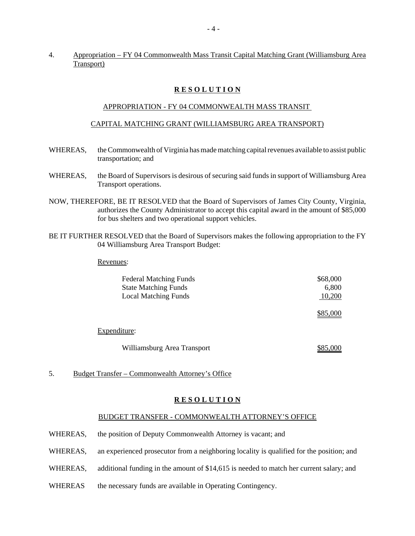#### 4. Appropriation – FY 04 Commonwealth Mass Transit Capital Matching Grant (Williamsburg Area Transport)

#### **R E S O L U T I O N**

#### APPROPRIATION - FY 04 COMMONWEALTH MASS TRANSIT

#### CAPITAL MATCHING GRANT (WILLIAMSBURG AREA TRANSPORT)

- WHEREAS, the Commonwealth of Virginia has made matching capital revenues available to assist public transportation; and
- WHEREAS, the Board of Supervisors is desirous of securing said funds in support of Williamsburg Area Transport operations.
- NOW, THEREFORE, BE IT RESOLVED that the Board of Supervisors of James City County, Virginia, authorizes the County Administrator to accept this capital award in the amount of \$85,000 for bus shelters and two operational support vehicles.
- BE IT FURTHER RESOLVED that the Board of Supervisors makes the following appropriation to the FY 04 Williamsburg Area Transport Budget:

#### Revenues:

| <b>Federal Matching Funds</b> | \$68,000 |
|-------------------------------|----------|
| <b>State Matching Funds</b>   | 6,800    |
| <b>Local Matching Funds</b>   | 10,200   |
|                               | \$85,000 |
| Expenditure:                  |          |
| Williamsburg Area Transport   | \$85,000 |

5. Budget Transfer – Commonwealth Attorney's Office

#### **R E S O L U T I O N**

#### BUDGET TRANSFER - COMMONWEALTH ATTORNEY'S OFFICE

- WHEREAS, the position of Deputy Commonwealth Attorney is vacant; and
- WHEREAS, an experienced prosecutor from a neighboring locality is qualified for the position; and
- WHEREAS, additional funding in the amount of \$14,615 is needed to match her current salary; and
- WHEREAS the necessary funds are available in Operating Contingency.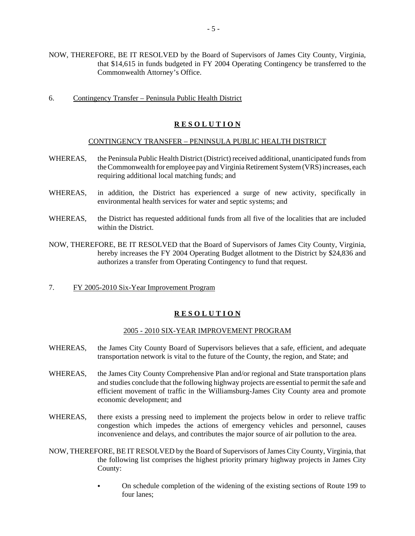- NOW, THEREFORE, BE IT RESOLVED by the Board of Supervisors of James City County, Virginia, that \$14,615 in funds budgeted in FY 2004 Operating Contingency be transferred to the Commonwealth Attorney's Office.
- 6. Contingency Transfer Peninsula Public Health District

#### **R E S O L U T I O N**

#### CONTINGENCY TRANSFER – PENINSULA PUBLIC HEALTH DISTRICT

- WHEREAS, the Peninsula Public Health District (District) received additional, unanticipated funds from the Commonwealth for employee pay and Virginia Retirement System (VRS) increases, each requiring additional local matching funds; and
- WHEREAS, in addition, the District has experienced a surge of new activity, specifically in environmental health services for water and septic systems; and
- WHEREAS, the District has requested additional funds from all five of the localities that are included within the District.
- NOW, THEREFORE, BE IT RESOLVED that the Board of Supervisors of James City County, Virginia, hereby increases the FY 2004 Operating Budget allotment to the District by \$24,836 and authorizes a transfer from Operating Contingency to fund that request.
- 7. FY 2005-2010 Six-Year Improvement Program

#### **R E S O L U T I O N**

#### 2005 - 2010 SIX-YEAR IMPROVEMENT PROGRAM

- WHEREAS, the James City County Board of Supervisors believes that a safe, efficient, and adequate transportation network is vital to the future of the County, the region, and State; and
- WHEREAS, the James City County Comprehensive Plan and/or regional and State transportation plans and studies conclude that the following highway projects are essential to permit the safe and efficient movement of traffic in the Williamsburg-James City County area and promote economic development; and
- WHEREAS, there exists a pressing need to implement the projects below in order to relieve traffic congestion which impedes the actions of emergency vehicles and personnel, causes inconvenience and delays, and contributes the major source of air pollution to the area.
- NOW, THEREFORE, BE IT RESOLVED by the Board of Supervisors of James City County, Virginia, that the following list comprises the highest priority primary highway projects in James City County:
	- C On schedule completion of the widening of the existing sections of Route 199 to four lanes;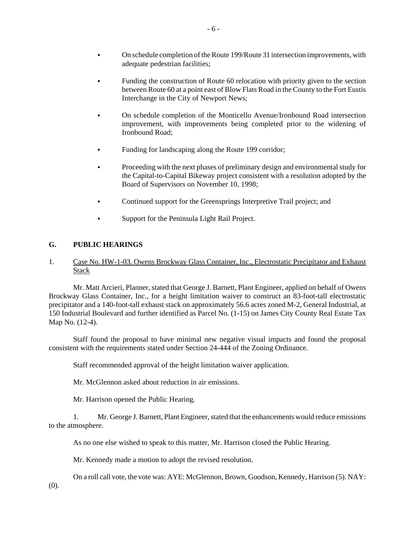- Funding the construction of Route 60 relocation with priority given to the section between Route 60 at a point east of Blow Flats Road in the County to the Fort Eustis Interchange in the City of Newport News;
- On schedule completion of the Monticello Avenue/Ironbound Road intersection improvement, with improvements being completed prior to the widening of Ironbound Road;
- Funding for landscaping along the Route 199 corridor;
- Proceeding with the next phases of preliminary design and environmental study for the Capital-to-Capital Bikeway project consistent with a resolution adopted by the Board of Supervisors on November 10, 1998;
- Continued support for the Greensprings Interpretive Trail project; and
- Support for the Peninsula Light Rail Project.

#### **G. PUBLIC HEARINGS**

#### 1. Case No. HW-1-03. Owens Brockway Glass Container, Inc., Electrostatic Precipitator and Exhaust Stack

Mr. Matt Arcieri, Planner, stated that George J. Barnett, Plant Engineer, applied on behalf of Owens Brockway Glass Container, Inc., for a height limitation waiver to construct an 83-foot-tall electrostatic precipitator and a 140-foot-tall exhaust stack on approximately 56.6 acres zoned M-2, General Industrial, at 150 Industrial Boulevard and further identified as Parcel No. (1-15) on James City County Real Estate Tax Map No. (12-4).

Staff found the proposal to have minimal new negative visual impacts and found the proposal consistent with the requirements stated under Section 24-444 of the Zoning Ordinance.

Staff recommended approval of the height limitation waiver application.

Mr. McGlennon asked about reduction in air emissions.

Mr. Harrison opened the Public Hearing.

1. Mr. George J. Barnett, Plant Engineer, stated that the enhancements would reduce emissions to the atmosphere.

As no one else wished to speak to this matter, Mr. Harrison closed the Public Hearing.

Mr. Kennedy made a motion to adopt the revised resolution.

On a roll call vote, the vote was: AYE: McGlennon, Brown, Goodson, Kennedy, Harrison (5). NAY:

(0).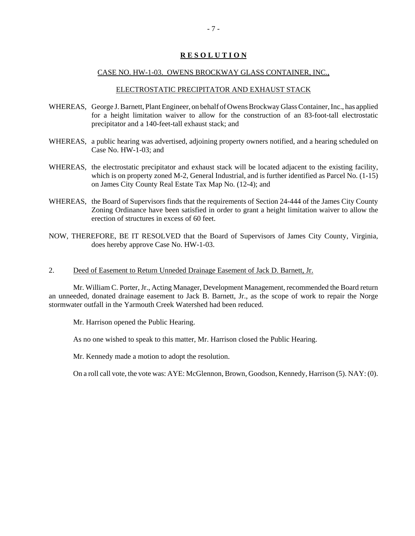#### **R E S O L U T I O N**

#### CASE NO. HW-1-03. OWENS BROCKWAY GLASS CONTAINER, INC.,

#### ELECTROSTATIC PRECIPITATOR AND EXHAUST STACK

- WHEREAS, George J. Barnett, Plant Engineer, on behalf of Owens Brockway Glass Container, Inc., has applied for a height limitation waiver to allow for the construction of an 83-foot-tall electrostatic precipitator and a 140-feet-tall exhaust stack; and
- WHEREAS, a public hearing was advertised, adjoining property owners notified, and a hearing scheduled on Case No. HW-1-03; and
- WHEREAS, the electrostatic precipitator and exhaust stack will be located adjacent to the existing facility, which is on property zoned M-2, General Industrial, and is further identified as Parcel No. (1-15) on James City County Real Estate Tax Map No. (12-4); and
- WHEREAS, the Board of Supervisors finds that the requirements of Section 24-444 of the James City County Zoning Ordinance have been satisfied in order to grant a height limitation waiver to allow the erection of structures in excess of 60 feet.
- NOW, THEREFORE, BE IT RESOLVED that the Board of Supervisors of James City County, Virginia, does hereby approve Case No. HW-1-03.
- 2. Deed of Easement to Return Unneded Drainage Easement of Jack D. Barnett, Jr.

Mr. William C. Porter, Jr., Acting Manager, Development Management, recommended the Board return an unneeded, donated drainage easement to Jack B. Barnett, Jr., as the scope of work to repair the Norge stormwater outfall in the Yarmouth Creek Watershed had been reduced.

Mr. Harrison opened the Public Hearing.

As no one wished to speak to this matter, Mr. Harrison closed the Public Hearing.

Mr. Kennedy made a motion to adopt the resolution.

On a roll call vote, the vote was: AYE: McGlennon, Brown, Goodson, Kennedy, Harrison (5). NAY: (0).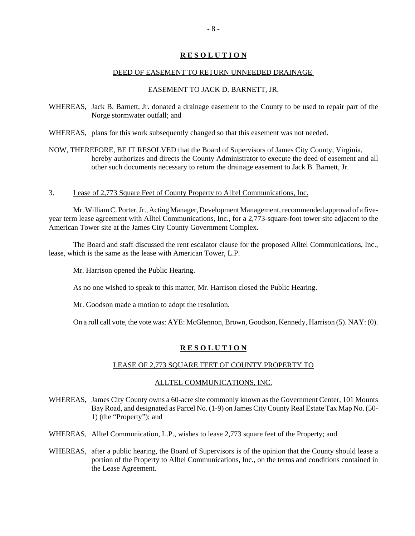#### **R E S O L U T I O N**

#### DEED OF EASEMENT TO RETURN UNNEEDED DRAINAGE

#### EASEMENT TO JACK D. BARNETT, JR.

WHEREAS, Jack B. Barnett, Jr. donated a drainage easement to the County to be used to repair part of the Norge stormwater outfall; and

WHEREAS, plans for this work subsequently changed so that this easement was not needed.

- NOW, THEREFORE, BE IT RESOLVED that the Board of Supervisors of James City County, Virginia, hereby authorizes and directs the County Administrator to execute the deed of easement and all other such documents necessary to return the drainage easement to Jack B. Barnett, Jr.
- 3. Lease of 2,773 Square Feet of County Property to Alltel Communications, Inc.

Mr. William C. Porter, Jr., Acting Manager, Development Management, recommended approval of a fiveyear term lease agreement with Alltel Communications, Inc., for a 2,773-square-foot tower site adjacent to the American Tower site at the James City County Government Complex.

The Board and staff discussed the rent escalator clause for the proposed Alltel Communications, Inc., lease, which is the same as the lease with American Tower, L.P.

Mr. Harrison opened the Public Hearing.

As no one wished to speak to this matter, Mr. Harrison closed the Public Hearing.

Mr. Goodson made a motion to adopt the resolution.

On a roll call vote, the vote was: AYE: McGlennon, Brown, Goodson, Kennedy, Harrison (5). NAY: (0).

#### **R E S O L U T I O N**

#### LEASE OF 2,773 SQUARE FEET OF COUNTY PROPERTY TO

#### ALLTEL COMMUNICATIONS, INC.

- WHEREAS, James City County owns a 60-acre site commonly known as the Government Center, 101 Mounts Bay Road, and designated as Parcel No. (1-9) on James City County Real Estate Tax Map No. (50- 1) (the "Property"); and
- WHEREAS, Alltel Communication, L.P., wishes to lease 2,773 square feet of the Property; and
- WHEREAS, after a public hearing, the Board of Supervisors is of the opinion that the County should lease a portion of the Property to Alltel Communications, Inc., on the terms and conditions contained in the Lease Agreement.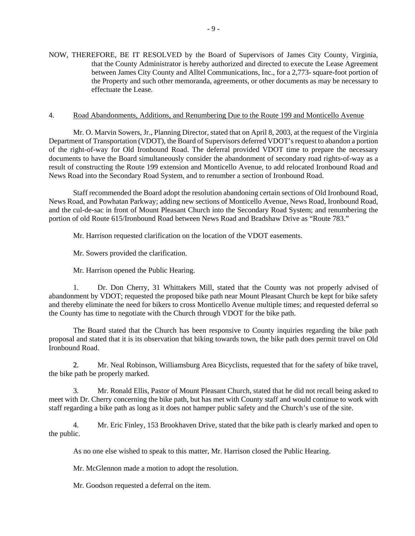NOW, THEREFORE, BE IT RESOLVED by the Board of Supervisors of James City County, Virginia, that the County Administrator is hereby authorized and directed to execute the Lease Agreement between James City County and Alltel Communications, Inc., for a 2,773- square-foot portion of the Property and such other memoranda, agreements, or other documents as may be necessary to effectuate the Lease.

#### 4. Road Abandonments, Additions, and Renumbering Due to the Route 199 and Monticello Avenue

Mr. O. Marvin Sowers, Jr., Planning Director, stated that on April 8, 2003, at the request of the Virginia Department of Transportation (VDOT), the Board of Supervisors deferred VDOT's request to abandon a portion of the right-of-way for Old Ironbound Road. The deferral provided VDOT time to prepare the necessary documents to have the Board simultaneously consider the abandonment of secondary road rights-of-way as a result of constructing the Route 199 extension and Monticello Avenue, to add relocated Ironbound Road and News Road into the Secondary Road System, and to renumber a section of Ironbound Road.

Staff recommended the Board adopt the resolution abandoning certain sections of Old Ironbound Road, News Road, and Powhatan Parkway; adding new sections of Monticello Avenue, News Road, Ironbound Road, and the cul-de-sac in front of Mount Pleasant Church into the Secondary Road System; and renumbering the portion of old Route 615/Ironbound Road between News Road and Bradshaw Drive as "Route 783."

Mr. Harrison requested clarification on the location of the VDOT easements.

Mr. Sowers provided the clarification.

Mr. Harrison opened the Public Hearing.

1. Dr. Don Cherry, 31 Whittakers Mill, stated that the County was not properly advised of abandonment by VDOT; requested the proposed bike path near Mount Pleasant Church be kept for bike safety and thereby eliminate the need for bikers to cross Monticello Avenue multiple times; and requested deferral so the County has time to negotiate with the Church through VDOT for the bike path.

The Board stated that the Church has been responsive to County inquiries regarding the bike path proposal and stated that it is its observation that biking towards town, the bike path does permit travel on Old Ironbound Road.

2. Mr. Neal Robinson, Williamsburg Area Bicyclists, requested that for the safety of bike travel, the bike path be properly marked.

3. Mr. Ronald Ellis, Pastor of Mount Pleasant Church, stated that he did not recall being asked to meet with Dr. Cherry concerning the bike path, but has met with County staff and would continue to work with staff regarding a bike path as long as it does not hamper public safety and the Church's use of the site.

4. Mr. Eric Finley, 153 Brookhaven Drive, stated that the bike path is clearly marked and open to the public.

As no one else wished to speak to this matter, Mr. Harrison closed the Public Hearing.

Mr. McGlennon made a motion to adopt the resolution.

Mr. Goodson requested a deferral on the item.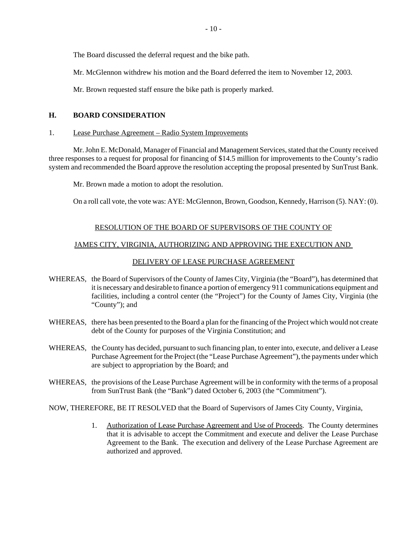The Board discussed the deferral request and the bike path.

Mr. McGlennon withdrew his motion and the Board deferred the item to November 12, 2003.

Mr. Brown requested staff ensure the bike path is properly marked.

#### **H. BOARD CONSIDERATION**

#### 1. Lease Purchase Agreement – Radio System Improvements

Mr. John E. McDonald, Manager of Financial and Management Services, stated that the County received three responses to a request for proposal for financing of \$14.5 million for improvements to the County's radio system and recommended the Board approve the resolution accepting the proposal presented by SunTrust Bank.

Mr. Brown made a motion to adopt the resolution.

On a roll call vote, the vote was: AYE: McGlennon, Brown, Goodson, Kennedy, Harrison (5). NAY: (0).

#### RESOLUTION OF THE BOARD OF SUPERVISORS OF THE COUNTY OF

#### JAMES CITY, VIRGINIA, AUTHORIZING AND APPROVING THE EXECUTION AND

#### DELIVERY OF LEASE PURCHASE AGREEMENT

- WHEREAS, the Board of Supervisors of the County of James City, Virginia (the "Board"), has determined that it is necessary and desirable to finance a portion of emergency 911 communications equipment and facilities, including a control center (the "Project") for the County of James City, Virginia (the "County"); and
- WHEREAS, there has been presented to the Board a plan for the financing of the Project which would not create debt of the County for purposes of the Virginia Constitution; and
- WHEREAS, the County has decided, pursuant to such financing plan, to enter into, execute, and deliver a Lease Purchase Agreement for the Project (the "Lease Purchase Agreement"), the payments under which are subject to appropriation by the Board; and
- WHEREAS, the provisions of the Lease Purchase Agreement will be in conformity with the terms of a proposal from SunTrust Bank (the "Bank") dated October 6, 2003 (the "Commitment").

NOW, THEREFORE, BE IT RESOLVED that the Board of Supervisors of James City County, Virginia,

1. Authorization of Lease Purchase Agreement and Use of Proceeds. The County determines that it is advisable to accept the Commitment and execute and deliver the Lease Purchase Agreement to the Bank. The execution and delivery of the Lease Purchase Agreement are authorized and approved.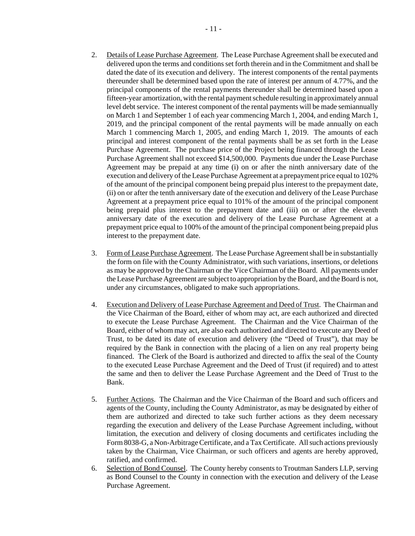- 2. Details of Lease Purchase Agreement. The Lease Purchase Agreement shall be executed and delivered upon the terms and conditions set forth therein and in the Commitment and shall be dated the date of its execution and delivery. The interest components of the rental payments thereunder shall be determined based upon the rate of interest per annum of 4.77%, and the principal components of the rental payments thereunder shall be determined based upon a fifteen-year amortization, with the rental payment schedule resulting in approximately annual level debt service. The interest component of the rental payments will be made semiannually on March 1 and September 1 of each year commencing March 1, 2004, and ending March 1, 2019, and the principal component of the rental payments will be made annually on each March 1 commencing March 1, 2005, and ending March 1, 2019. The amounts of each principal and interest component of the rental payments shall be as set forth in the Lease Purchase Agreement. The purchase price of the Project being financed through the Lease Purchase Agreement shall not exceed \$14,500,000. Payments due under the Lease Purchase Agreement may be prepaid at any time (i) on or after the ninth anniversary date of the execution and delivery of the Lease Purchase Agreement at a prepayment price equal to 102% of the amount of the principal component being prepaid plus interest to the prepayment date, (ii) on or after the tenth anniversary date of the execution and delivery of the Lease Purchase Agreement at a prepayment price equal to 101% of the amount of the principal component being prepaid plus interest to the prepayment date and (iii) on or after the eleventh anniversary date of the execution and delivery of the Lease Purchase Agreement at a prepayment price equal to 100% of the amount of the principal component being prepaid plus interest to the prepayment date.
- 3. Form of Lease Purchase Agreement. The Lease Purchase Agreement shall be in substantially the form on file with the County Administrator, with such variations, insertions, or deletions as may be approved by the Chairman or the Vice Chairman of the Board. All payments under the Lease Purchase Agreement are subject to appropriation by the Board, and the Board is not, under any circumstances, obligated to make such appropriations.
- 4. Execution and Delivery of Lease Purchase Agreement and Deed of Trust. The Chairman and the Vice Chairman of the Board, either of whom may act, are each authorized and directed to execute the Lease Purchase Agreement. The Chairman and the Vice Chairman of the Board, either of whom may act, are also each authorized and directed to execute any Deed of Trust, to be dated its date of execution and delivery (the "Deed of Trust"), that may be required by the Bank in connection with the placing of a lien on any real property being financed. The Clerk of the Board is authorized and directed to affix the seal of the County to the executed Lease Purchase Agreement and the Deed of Trust (if required) and to attest the same and then to deliver the Lease Purchase Agreement and the Deed of Trust to the Bank.
- 5. Further Actions. The Chairman and the Vice Chairman of the Board and such officers and agents of the County, including the County Administrator, as may be designated by either of them are authorized and directed to take such further actions as they deem necessary regarding the execution and delivery of the Lease Purchase Agreement including, without limitation, the execution and delivery of closing documents and certificates including the Form 8038-G, a Non-Arbitrage Certificate, and a Tax Certificate. All such actions previously taken by the Chairman, Vice Chairman, or such officers and agents are hereby approved, ratified, and confirmed.
- 6. Selection of Bond Counsel. The County hereby consents to Troutman Sanders LLP, serving as Bond Counsel to the County in connection with the execution and delivery of the Lease Purchase Agreement.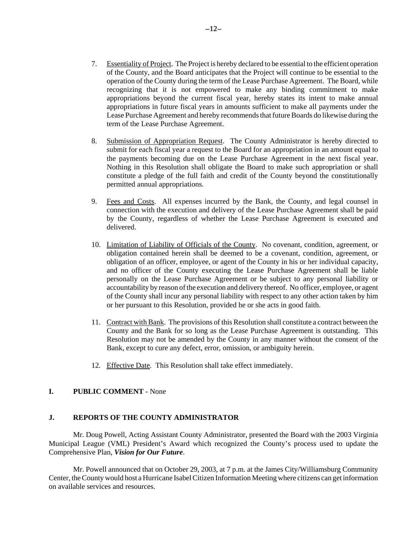- 7. Essentiality of Project. The Project is hereby declared to be essential to the efficient operation of the County, and the Board anticipates that the Project will continue to be essential to the operation of the County during the term of the Lease Purchase Agreement. The Board, while recognizing that it is not empowered to make any binding commitment to make appropriations beyond the current fiscal year, hereby states its intent to make annual appropriations in future fiscal years in amounts sufficient to make all payments under the Lease Purchase Agreement and hereby recommends that future Boards do likewise during the term of the Lease Purchase Agreement.
- 8. Submission of Appropriation Request. The County Administrator is hereby directed to submit for each fiscal year a request to the Board for an appropriation in an amount equal to the payments becoming due on the Lease Purchase Agreement in the next fiscal year. Nothing in this Resolution shall obligate the Board to make such appropriation or shall constitute a pledge of the full faith and credit of the County beyond the constitutionally permitted annual appropriations.
- 9. Fees and Costs. All expenses incurred by the Bank, the County, and legal counsel in connection with the execution and delivery of the Lease Purchase Agreement shall be paid by the County, regardless of whether the Lease Purchase Agreement is executed and delivered.
- 10. Limitation of Liability of Officials of the County.No covenant, condition, agreement, or obligation contained herein shall be deemed to be a covenant, condition, agreement, or obligation of an officer, employee, or agent of the County in his or her individual capacity, and no officer of the County executing the Lease Purchase Agreement shall be liable personally on the Lease Purchase Agreement or be subject to any personal liability or accountability by reason of the execution and delivery thereof. No officer, employee, or agent of the County shall incur any personal liability with respect to any other action taken by him or her pursuant to this Resolution, provided he or she acts in good faith.
- 11. Contract with Bank.The provisions of this Resolution shall constitute a contract between the County and the Bank for so long as the Lease Purchase Agreement is outstanding. This Resolution may not be amended by the County in any manner without the consent of the Bank, except to cure any defect, error, omission, or ambiguity herein.
- 12. Effective Date. This Resolution shall take effect immediately.

#### **I. PUBLIC COMMENT** - None

#### **J. REPORTS OF THE COUNTY ADMINISTRATOR**

Mr. Doug Powell, Acting Assistant County Administrator, presented the Board with the 2003 Virginia Municipal League (VML) President's Award which recognized the County's process used to update the Comprehensive Plan, *Vision for Our Future*.

Mr. Powell announced that on October 29, 2003, at 7 p.m. at the James City/Williamsburg Community Center, the County would host a Hurricane Isabel Citizen Information Meeting where citizens can get information on available services and resources.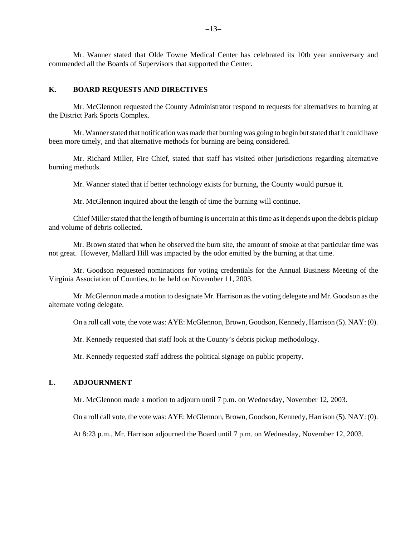Mr. Wanner stated that Olde Towne Medical Center has celebrated its 10th year anniversary and commended all the Boards of Supervisors that supported the Center.

#### **K. BOARD REQUESTS AND DIRECTIVES**

Mr. McGlennon requested the County Administrator respond to requests for alternatives to burning at the District Park Sports Complex.

Mr. Wanner stated that notification was made that burning was going to begin but stated that it could have been more timely, and that alternative methods for burning are being considered.

Mr. Richard Miller, Fire Chief, stated that staff has visited other jurisdictions regarding alternative burning methods.

Mr. Wanner stated that if better technology exists for burning, the County would pursue it.

Mr. McGlennon inquired about the length of time the burning will continue.

Chief Miller stated that the length of burning is uncertain at this time as it depends upon the debris pickup and volume of debris collected.

Mr. Brown stated that when he observed the burn site, the amount of smoke at that particular time was not great. However, Mallard Hill was impacted by the odor emitted by the burning at that time.

Mr. Goodson requested nominations for voting credentials for the Annual Business Meeting of the Virginia Association of Counties, to be held on November 11, 2003.

Mr. McGlennon made a motion to designate Mr. Harrison as the voting delegate and Mr. Goodson as the alternate voting delegate.

On a roll call vote, the vote was: AYE: McGlennon, Brown, Goodson, Kennedy, Harrison (5). NAY: (0).

Mr. Kennedy requested that staff look at the County's debris pickup methodology.

Mr. Kennedy requested staff address the political signage on public property.

#### **L. ADJOURNMENT**

Mr. McGlennon made a motion to adjourn until 7 p.m. on Wednesday, November 12, 2003.

On a roll call vote, the vote was: AYE: McGlennon, Brown, Goodson, Kennedy, Harrison (5). NAY: (0).

At 8:23 p.m., Mr. Harrison adjourned the Board until 7 p.m. on Wednesday, November 12, 2003.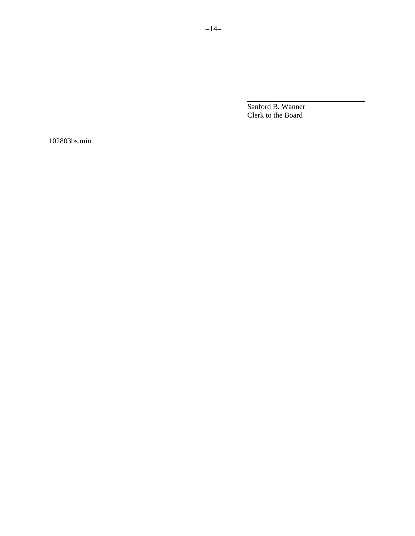Sanford B. Wanner Clerk to the Board

l

102803bs.min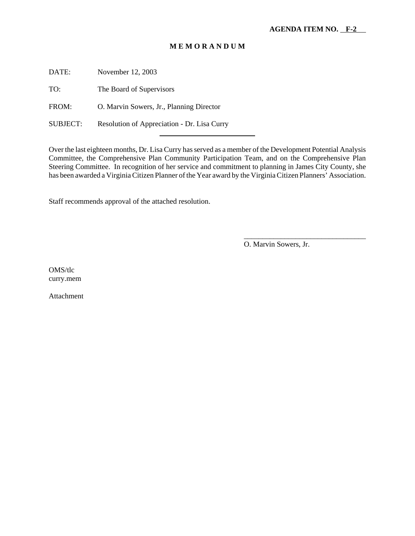#### **M E M O R A N D U M**

DATE: November 12, 2003

TO: The Board of Supervisors

FROM: O. Marvin Sowers, Jr., Planning Director

SUBJECT: Resolution of Appreciation - Dr. Lisa Curry

l

Over the last eighteen months, Dr. Lisa Curry has served as a member of the Development Potential Analysis Committee, the Comprehensive Plan Community Participation Team, and on the Comprehensive Plan Steering Committee. In recognition of her service and commitment to planning in James City County, she has been awarded a Virginia Citizen Planner of the Year award by the Virginia Citizen Planners' Association.

Staff recommends approval of the attached resolution.

O. Marvin Sowers, Jr.

\_\_\_\_\_\_\_\_\_\_\_\_\_\_\_\_\_\_\_\_\_\_\_\_\_\_\_\_\_\_\_\_\_

OMS/tlc curry.mem

Attachment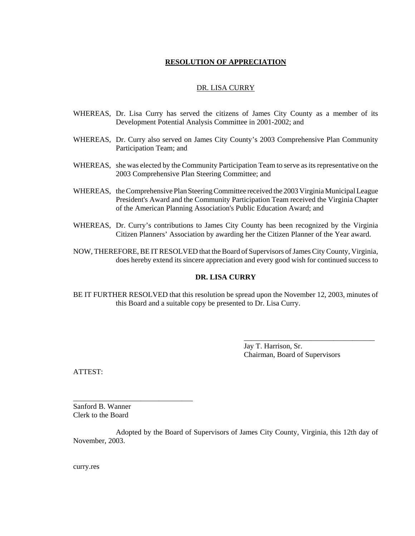#### **RESOLUTION OF APPRECIATION**

#### DR. LISA CURRY

- WHEREAS, Dr. Lisa Curry has served the citizens of James City County as a member of its Development Potential Analysis Committee in 2001-2002; and
- WHEREAS, Dr. Curry also served on James City County's 2003 Comprehensive Plan Community Participation Team; and
- WHEREAS, she was elected by the Community Participation Team to serve as its representative on the 2003 Comprehensive Plan Steering Committee; and
- WHEREAS, the Comprehensive Plan Steering Committee received the 2003 Virginia Municipal League President's Award and the Community Participation Team received the Virginia Chapter of the American Planning Association's Public Education Award; and
- WHEREAS, Dr. Curry's contributions to James City County has been recognized by the Virginia Citizen Planners' Association by awarding her the Citizen Planner of the Year award.
- NOW, THEREFORE, BE IT RESOLVED that the Board of Supervisors of James City County, Virginia, does hereby extend its sincere appreciation and every good wish for continued success to

#### **DR. LISA CURRY**

BE IT FURTHER RESOLVED that this resolution be spread upon the November 12, 2003, minutes of this Board and a suitable copy be presented to Dr. Lisa Curry.

> Jay T. Harrison, Sr. Chairman, Board of Supervisors

\_\_\_\_\_\_\_\_\_\_\_\_\_\_\_\_\_\_\_\_\_\_\_\_\_\_\_\_\_\_\_\_\_\_\_

ATTEST:

Sanford B. Wanner Clerk to the Board

\_\_\_\_\_\_\_\_\_\_\_\_\_\_\_\_\_\_\_\_\_\_\_\_\_\_\_\_\_\_\_\_

Adopted by the Board of Supervisors of James City County, Virginia, this 12th day of November, 2003.

curry.res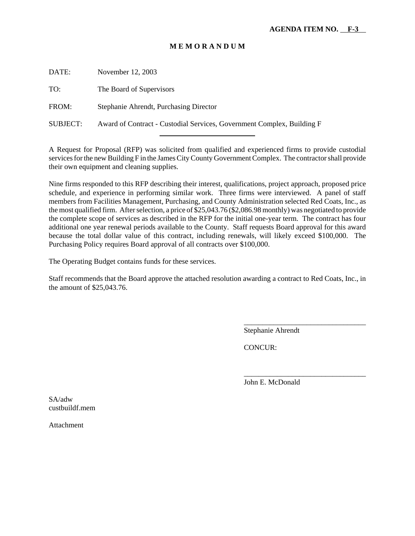#### **M E M O R A N D U M**

DATE: November 12, 2003

TO: The Board of Supervisors

FROM: Stephanie Ahrendt, Purchasing Director

SUBJECT: Award of Contract - Custodial Services, Government Complex, Building F

l

A Request for Proposal (RFP) was solicited from qualified and experienced firms to provide custodial services for the new Building F in the James City County Government Complex. The contractor shall provide their own equipment and cleaning supplies.

Nine firms responded to this RFP describing their interest, qualifications, project approach, proposed price schedule, and experience in performing similar work. Three firms were interviewed. A panel of staff members from Facilities Management, Purchasing, and County Administration selected Red Coats, Inc., as the most qualified firm. After selection, a price of \$25,043.76 (\$2,086.98 monthly) was negotiated to provide the complete scope of services as described in the RFP for the initial one-year term. The contract has four additional one year renewal periods available to the County. Staff requests Board approval for this award because the total dollar value of this contract, including renewals, will likely exceed \$100,000. The Purchasing Policy requires Board approval of all contracts over \$100,000.

The Operating Budget contains funds for these services.

Staff recommends that the Board approve the attached resolution awarding a contract to Red Coats, Inc., in the amount of \$25,043.76.

Stephanie Ahrendt

\_\_\_\_\_\_\_\_\_\_\_\_\_\_\_\_\_\_\_\_\_\_\_\_\_\_\_\_\_\_\_\_\_

\_\_\_\_\_\_\_\_\_\_\_\_\_\_\_\_\_\_\_\_\_\_\_\_\_\_\_\_\_\_\_\_\_

CONCUR:

John E. McDonald

SA/adw custbuildf.mem

Attachment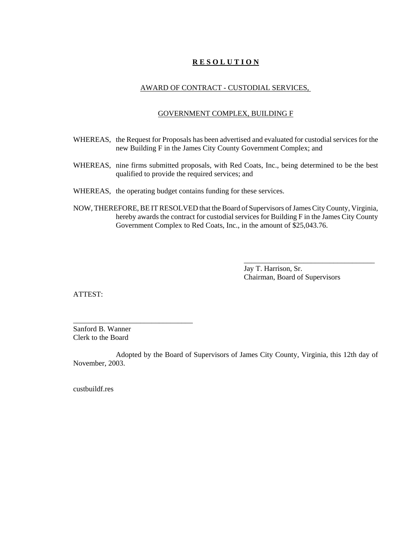#### **R E S O L U T I O N**

#### AWARD OF CONTRACT - CUSTODIAL SERVICES,

#### GOVERNMENT COMPLEX, BUILDING F

- WHEREAS, the Request for Proposals has been advertised and evaluated for custodial services for the new Building F in the James City County Government Complex; and
- WHEREAS, nine firms submitted proposals, with Red Coats, Inc., being determined to be the best qualified to provide the required services; and
- WHEREAS, the operating budget contains funding for these services.
- NOW, THEREFORE, BE IT RESOLVED that the Board of Supervisors of James City County, Virginia, hereby awards the contract for custodial services for Building F in the James City County Government Complex to Red Coats, Inc., in the amount of \$25,043.76.

Jay T. Harrison, Sr. Chairman, Board of Supervisors

\_\_\_\_\_\_\_\_\_\_\_\_\_\_\_\_\_\_\_\_\_\_\_\_\_\_\_\_\_\_\_\_\_\_\_

ATTEST:

Sanford B. Wanner Clerk to the Board

\_\_\_\_\_\_\_\_\_\_\_\_\_\_\_\_\_\_\_\_\_\_\_\_\_\_\_\_\_\_\_\_

Adopted by the Board of Supervisors of James City County, Virginia, this 12th day of November, 2003.

custbuildf.res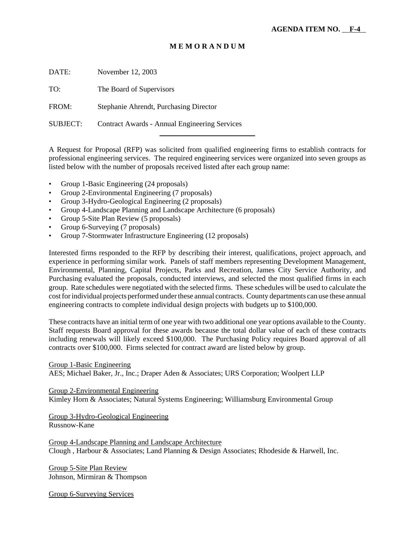#### **M E M O R A N D U M**

DATE: November 12, 2003

TO: The Board of Supervisors

FROM: Stephanie Ahrendt, Purchasing Director

SUBJECT: Contract Awards - Annual Engineering Services

l

A Request for Proposal (RFP) was solicited from qualified engineering firms to establish contracts for professional engineering services. The required engineering services were organized into seven groups as listed below with the number of proposals received listed after each group name:

- Group 1-Basic Engineering (24 proposals)
- Group 2-Environmental Engineering (7 proposals)
- Group 3-Hydro-Geological Engineering (2 proposals)
- Group 4-Landscape Planning and Landscape Architecture (6 proposals)
- Group 5-Site Plan Review (5 proposals)
- Group 6-Surveying (7 proposals)
- Group 7-Stormwater Infrastructure Engineering (12 proposals)

Interested firms responded to the RFP by describing their interest, qualifications, project approach, and experience in performing similar work. Panels of staff members representing Development Management, Environmental, Planning, Capital Projects, Parks and Recreation, James City Service Authority, and Purchasing evaluated the proposals, conducted interviews, and selected the most qualified firms in each group. Rate schedules were negotiated with the selected firms. These schedules will be used to calculate the cost for individual projects performed under these annual contracts. County departments can use these annual engineering contracts to complete individual design projects with budgets up to \$100,000.

These contracts have an initial term of one year with two additional one year options available to the County. Staff requests Board approval for these awards because the total dollar value of each of these contracts including renewals will likely exceed \$100,000. The Purchasing Policy requires Board approval of all contracts over \$100,000. Firms selected for contract award are listed below by group.

Group 1-Basic Engineering

AES; Michael Baker, Jr., Inc.; Draper Aden & Associates; URS Corporation; Woolpert LLP

Group 2-Environmental Engineering Kimley Horn & Associates; Natural Systems Engineering; Williamsburg Environmental Group

Group 3-Hydro-Geological Engineering Russnow-Kane

Group 4-Landscape Planning and Landscape Architecture Clough , Harbour & Associates; Land Planning & Design Associates; Rhodeside & Harwell, Inc.

Group 5-Site Plan Review Johnson, Mirmiran & Thompson

Group 6-Surveying Services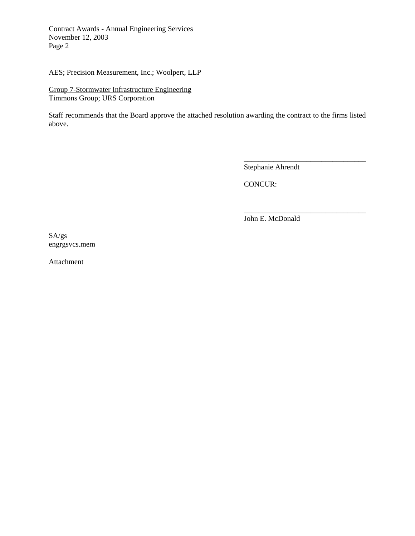Contract Awards - Annual Engineering Services November 12, 2003 Page 2

AES; Precision Measurement, Inc.; Woolpert, LLP

Group 7-Stormwater Infrastructure Engineering Timmons Group; URS Corporation

Staff recommends that the Board approve the attached resolution awarding the contract to the firms listed above.

Stephanie Ahrendt

\_\_\_\_\_\_\_\_\_\_\_\_\_\_\_\_\_\_\_\_\_\_\_\_\_\_\_\_\_\_\_\_\_

\_\_\_\_\_\_\_\_\_\_\_\_\_\_\_\_\_\_\_\_\_\_\_\_\_\_\_\_\_\_\_\_\_

CONCUR:

John E. McDonald

SA/gs engrgsvcs.mem

Attachment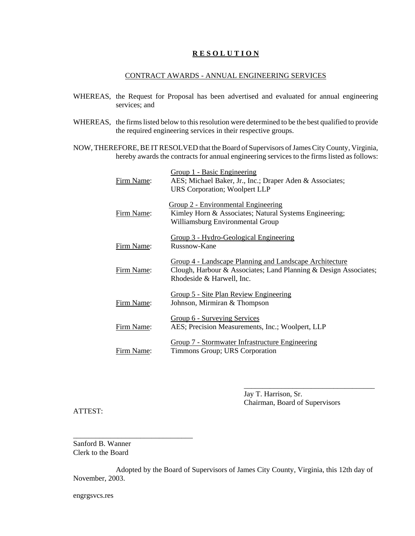#### **R E S O L U T I O N**

#### CONTRACT AWARDS - ANNUAL ENGINEERING SERVICES

- WHEREAS, the Request for Proposal has been advertised and evaluated for annual engineering services; and
- WHEREAS, the firms listed below to this resolution were determined to be the best qualified to provide the required engineering services in their respective groups.
- NOW, THEREFORE, BE IT RESOLVED that the Board of Supervisors of James City County, Virginia, hereby awards the contracts for annual engineering services to the firms listed as follows:

| Firm Name: | Group 1 - Basic Engineering<br>AES; Michael Baker, Jr., Inc.; Draper Aden & Associates;<br><b>URS Corporation; Woolpert LLP</b>                          |
|------------|----------------------------------------------------------------------------------------------------------------------------------------------------------|
| Firm Name: | Group 2 - Environmental Engineering<br>Kimley Horn & Associates; Natural Systems Engineering;<br>Williamsburg Environmental Group                        |
| Firm Name: | Group 3 - Hydro-Geological Engineering<br>Russnow-Kane                                                                                                   |
| Firm Name: | Group 4 - Landscape Planning and Landscape Architecture<br>Clough, Harbour & Associates; Land Planning & Design Associates;<br>Rhodeside & Harwell, Inc. |
| Firm Name: | <u>Group 5 - Site Plan Review Engineering</u><br>Johnson, Mirmiran & Thompson                                                                            |
| Firm Name: | Group 6 - Surveying Services<br>AES; Precision Measurements, Inc.; Woolpert, LLP                                                                         |
| Firm Name: | Group 7 - Stormwater Infrastructure Engineering<br>Timmons Group; URS Corporation                                                                        |

Jay T. Harrison, Sr. Chairman, Board of Supervisors

\_\_\_\_\_\_\_\_\_\_\_\_\_\_\_\_\_\_\_\_\_\_\_\_\_\_\_\_\_\_\_\_\_\_\_

ATTEST:

Sanford B. Wanner Clerk to the Board

\_\_\_\_\_\_\_\_\_\_\_\_\_\_\_\_\_\_\_\_\_\_\_\_\_\_\_\_\_\_\_\_

Adopted by the Board of Supervisors of James City County, Virginia, this 12th day of November, 2003.

engrgsvcs.res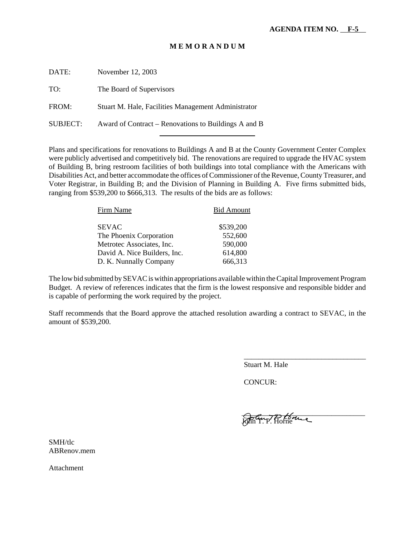#### **M E M O R A N D U M**

| DATE:    | November 12, 2003                                    |
|----------|------------------------------------------------------|
| TO:      | The Board of Supervisors                             |
| FROM:    | Stuart M. Hale, Facilities Management Administrator  |
| SUBJECT: | Award of Contract – Renovations to Buildings A and B |

l

Plans and specifications for renovations to Buildings A and B at the County Government Center Complex were publicly advertised and competitively bid. The renovations are required to upgrade the HVAC system of Building B, bring restroom facilities of both buildings into total compliance with the Americans with Disabilities Act, and better accommodate the offices of Commissioner of the Revenue, County Treasurer, and Voter Registrar, in Building B; and the Division of Planning in Building A. Five firms submitted bids, ranging from \$539,200 to \$666,313. The results of the bids are as follows:

| Firm Name                    | <b>Bid Amount</b> |
|------------------------------|-------------------|
| <b>SEVAC</b>                 | \$539,200         |
| The Phoenix Corporation      | 552,600           |
| Metrotec Associates, Inc.    | 590,000           |
| David A. Nice Builders, Inc. | 614,800           |
| D. K. Nunnally Company       | 666,313           |

The low bid submitted by SEVAC is within appropriations available within the Capital Improvement Program Budget. A review of references indicates that the firm is the lowest responsive and responsible bidder and is capable of performing the work required by the project.

Staff recommends that the Board approve the attached resolution awarding a contract to SEVAC, in the amount of \$539,200.

Stuart M. Hale

CONCUR:

 $\bigcap$   $\mathcal{C}$   $\longrightarrow$   $\mathcal{D}$   $\mathcal{L}$   $\longrightarrow$   $\mathcal{L}$ John T. P. Horne

\_\_\_\_\_\_\_\_\_\_\_\_\_\_\_\_\_\_\_\_\_\_\_\_\_\_\_\_\_\_\_\_\_

SMH/tlc ABRenov.mem

Attachment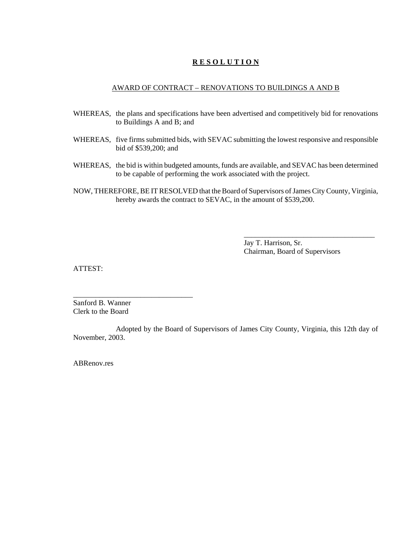#### **R E S O L U T I O N**

#### AWARD OF CONTRACT – RENOVATIONS TO BUILDINGS A AND B

- WHEREAS, the plans and specifications have been advertised and competitively bid for renovations to Buildings A and B; and
- WHEREAS, five firms submitted bids, with SEVAC submitting the lowest responsive and responsible bid of \$539,200; and
- WHEREAS, the bid is within budgeted amounts, funds are available, and SEVAC has been determined to be capable of performing the work associated with the project.
- NOW, THEREFORE, BE IT RESOLVED that the Board of Supervisors of James City County, Virginia, hereby awards the contract to SEVAC, in the amount of \$539,200.

Jay T. Harrison, Sr. Chairman, Board of Supervisors

\_\_\_\_\_\_\_\_\_\_\_\_\_\_\_\_\_\_\_\_\_\_\_\_\_\_\_\_\_\_\_\_\_\_\_

ATTEST:

Sanford B. Wanner Clerk to the Board

\_\_\_\_\_\_\_\_\_\_\_\_\_\_\_\_\_\_\_\_\_\_\_\_\_\_\_\_\_\_\_\_

Adopted by the Board of Supervisors of James City County, Virginia, this 12th day of November, 2003.

ABRenov.res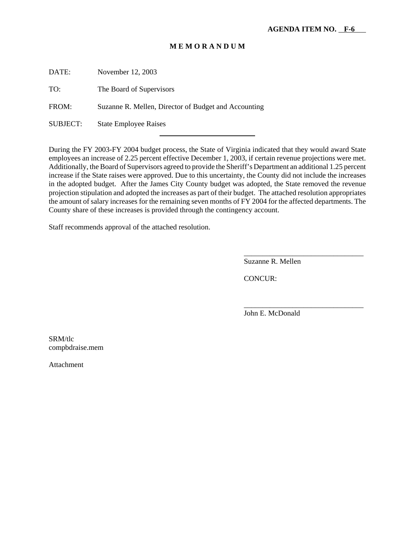#### **M E M O R A N D U M**

DATE: November 12, 2003

TO: The Board of Supervisors

FROM: Suzanne R. Mellen, Director of Budget and Accounting

l

SUBJECT: State Employee Raises

During the FY 2003-FY 2004 budget process, the State of Virginia indicated that they would award State employees an increase of 2.25 percent effective December 1, 2003, if certain revenue projections were met. Additionally, the Board of Supervisors agreed to provide the Sheriff's Department an additional 1.25 percent increase if the State raises were approved. Due to this uncertainty, the County did not include the increases in the adopted budget. After the James City County budget was adopted, the State removed the revenue projection stipulation and adopted the increases as part of their budget. The attached resolution appropriates the amount of salary increases for the remaining seven months of FY 2004 for the affected departments. The County share of these increases is provided through the contingency account.

Staff recommends approval of the attached resolution.

Suzanne R. Mellen

\_\_\_\_\_\_\_\_\_\_\_\_\_\_\_\_\_\_\_\_\_\_\_\_\_\_\_\_\_\_\_\_

\_\_\_\_\_\_\_\_\_\_\_\_\_\_\_\_\_\_\_\_\_\_\_\_\_\_\_\_\_\_\_\_

CONCUR:

John E. McDonald

SRM/tlc compbdraise.mem

Attachment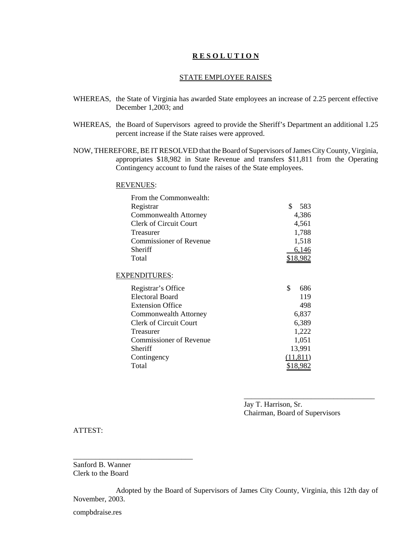#### **R E S O L U T I O N**

#### STATE EMPLOYEE RAISES

- WHEREAS, the State of Virginia has awarded State employees an increase of 2.25 percent effective December 1,2003; and
- WHEREAS, the Board of Supervisors agreed to provide the Sheriff's Department an additional 1.25 percent increase if the State raises were approved.
- NOW, THEREFORE, BE IT RESOLVED that the Board of Supervisors of James City County, Virginia, appropriates \$18,982 in State Revenue and transfers \$11,811 from the Operating Contingency account to fund the raises of the State employees.

#### REVENUES:

| From the Commonwealth:        |                 |
|-------------------------------|-----------------|
| Registrar                     | \$<br>583       |
| Commonwealth Attorney         | 4,386           |
| <b>Clerk of Circuit Court</b> | 4,561           |
| <b>Treasurer</b>              | 1,788           |
| Commissioner of Revenue       | 1,518           |
| Sheriff                       | 6,146           |
| Total                         | <u>\$18,982</u> |
|                               |                 |
| <b>EXPENDITURES:</b>          |                 |
| Registrar's Office            | \$<br>686       |
| <b>Electoral Board</b>        | 119             |
| <b>Extension Office</b>       | 498             |
| Commonwealth Attorney         | 6,837           |
| <b>Clerk of Circuit Court</b> | 6,389           |
| Treasurer                     | 1,222           |
| Commissioner of Revenue       | 1,051           |
| Sheriff                       | 13,991          |
| Contingency                   | (11, 811)       |
| Total                         | <u>\$18,982</u> |

Jay T. Harrison, Sr. Chairman, Board of Supervisors

\_\_\_\_\_\_\_\_\_\_\_\_\_\_\_\_\_\_\_\_\_\_\_\_\_\_\_\_\_\_\_\_\_\_\_

ATTEST:

Sanford B. Wanner Clerk to the Board

\_\_\_\_\_\_\_\_\_\_\_\_\_\_\_\_\_\_\_\_\_\_\_\_\_\_\_\_\_\_\_\_

Adopted by the Board of Supervisors of James City County, Virginia, this 12th day of November, 2003.

compbdraise.res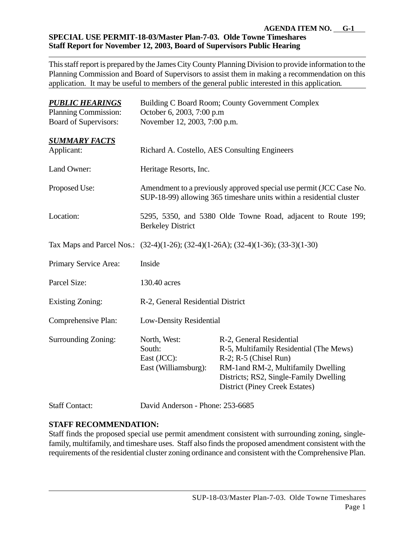#### **AGENDA ITEM NO. G-1 SPECIAL USE PERMIT-18-03/Master Plan-7-03. Olde Towne Timeshares Staff Report for November 12, 2003, Board of Supervisors Public Hearing**

This staff report is prepared by the James City County Planning Division to provide information to the Planning Commission and Board of Supervisors to assist them in making a recommendation on this application. It may be useful to members of the general public interested in this application*.*

| <b>PUBLIC HEARINGS</b>       | Building C Board Room; County Government Complex                                                                                            |                                                                                                                                                                                                                            |
|------------------------------|---------------------------------------------------------------------------------------------------------------------------------------------|----------------------------------------------------------------------------------------------------------------------------------------------------------------------------------------------------------------------------|
| <b>Planning Commission:</b>  | October 6, 2003, 7:00 p.m                                                                                                                   |                                                                                                                                                                                                                            |
| <b>Board of Supervisors:</b> | November 12, 2003, 7:00 p.m.                                                                                                                |                                                                                                                                                                                                                            |
| <b>SUMMARY FACTS</b>         |                                                                                                                                             |                                                                                                                                                                                                                            |
| Applicant:                   | Richard A. Costello, AES Consulting Engineers                                                                                               |                                                                                                                                                                                                                            |
| Land Owner:                  | Heritage Resorts, Inc.                                                                                                                      |                                                                                                                                                                                                                            |
| Proposed Use:                | Amendment to a previously approved special use permit (JCC Case No.<br>SUP-18-99) allowing 365 timeshare units within a residential cluster |                                                                                                                                                                                                                            |
| Location:                    | 5295, 5350, and 5380 Olde Towne Road, adjacent to Route 199;<br><b>Berkeley District</b>                                                    |                                                                                                                                                                                                                            |
|                              | Tax Maps and Parcel Nos.: (32-4)(1-26); (32-4)(1-26A); (32-4)(1-36); (33-3)(1-30)                                                           |                                                                                                                                                                                                                            |
| Primary Service Area:        | Inside                                                                                                                                      |                                                                                                                                                                                                                            |
| Parcel Size:                 | 130.40 acres                                                                                                                                |                                                                                                                                                                                                                            |
| <b>Existing Zoning:</b>      | R-2, General Residential District                                                                                                           |                                                                                                                                                                                                                            |
| Comprehensive Plan:          | <b>Low-Density Residential</b>                                                                                                              |                                                                                                                                                                                                                            |
| Surrounding Zoning:          | North, West:<br>South:<br>East (JCC):<br>East (Williamsburg):                                                                               | R-2, General Residential<br>R-5, Multifamily Residential (The Mews)<br>$R-2$ ; $R-5$ (Chisel Run)<br>RM-1and RM-2, Multifamily Dwelling<br>Districts; RS2, Single-Family Dwelling<br><b>District (Piney Creek Estates)</b> |

#### Staff Contact: David Anderson - Phone: 253-6685

### **STAFF RECOMMENDATION:**

Staff finds the proposed special use permit amendment consistent with surrounding zoning, singlefamily, multifamily, and timeshare uses. Staff also finds the proposed amendment consistent with the requirements of the residential cluster zoning ordinance and consistent with the Comprehensive Plan.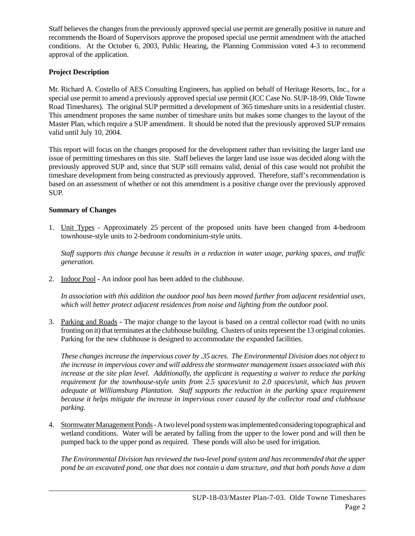Staff believes the changes from the previously approved special use permit are generally positive in nature and recommends the Board of Supervisors approve the proposed special use permit amendment with the attached conditions. At the October 6, 2003, Public Hearing, the Planning Commission voted 4-3 to recommend approval of the application.

#### **Project Description**

Mr. Richard A. Costello of AES Consulting Engineers, has applied on behalf of Heritage Resorts, Inc., for a special use permit to amend a previously approved special use permit (JCC Case No. SUP-18-99, Olde Towne Road Timeshares). The original SUP permitted a development of 365 timeshare units in a residential cluster. This amendment proposes the same number of timeshare units but makes some changes to the layout of the Master Plan, which require a SUP amendment. It should be noted that the previously approved SUP remains valid until July 10, 2004.

This report will focus on the changes proposed for the development rather than revisiting the larger land use issue of permitting timeshares on this site. Staff believes the larger land use issue was decided along with the previously approved SUP and, since that SUP still remains valid, denial of this case would not prohibit the timeshare development from being constructed as previously approved. Therefore, staff's recommendation is based on an assessment of whether or not this amendment is a positive change over the previously approved SUP.

#### **Summary of Changes**

1. Unit Types - Approximately 25 percent of the proposed units have been changed from 4-bedroom townhouse-style units to 2-bedroom condominium-style units.

*Staff supports this change because it results in a reduction in water usage, parking spaces, and traffic generation.*

2. Indoor Pool - An indoor pool has been added to the clubhouse.

*In association with this addition the outdoor pool has been moved further from adjacent residential uses, which will better protect adjacent residences from noise and lighting from the outdoor pool.*

3. Parking and Roads - The major change to the layout is based on a central collector road (with no units fronting on it) that terminates at the clubhouse building. Clusters of units represent the 13 original colonies. Parking for the new clubhouse is designed to accommodate the expanded facilities.

*These changes increase the impervious cover by .35 acres. The Environmental Division does not object to the increase in impervious cover and will address the stormwater management issues associated with this increase at the site plan level. Additionally, the applicant is requesting a waiver to reduce the parking requirement for the townhouse-style units from 2.5 spaces/unit to 2.0 spaces/unit, which has proven adequate at Williamsburg Plantation. Staff supports the reduction in the parking space requirement because it helps mitigate the increase in impervious cover caused by the collector road and clubhouse parking.*

4. Stormwater Management Ponds - A two level pond system was implemented considering topographical and wetland conditions. Water will be aerated by falling from the upper to the lower pond and will then be pumped back to the upper pond as required. These ponds will also be used for irrigation.

*The Environmental Division has reviewed the two-level pond system and has recommended that the upper pond be an excavated pond, one that does not contain a dam structure, and that both ponds have a dam*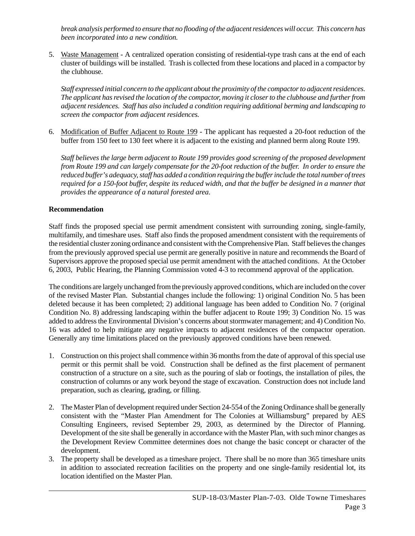*break analysis performed to ensure that no flooding of the adjacent residences will occur. This concern has been incorporated into a new condition.*

5. Waste Management - A centralized operation consisting of residential-type trash cans at the end of each cluster of buildings will be installed. Trash is collected from these locations and placed in a compactor by the clubhouse.

*Staff expressed initial concern to the applicant about the proximity of the compactor to adjacent residences. The applicant has revised the location of the compactor, moving it closer to the clubhouse and further from adjacent residences. Staff has also included a condition requiring additional berming and landscaping to screen the compactor from adjacent residences.*

6. Modification of Buffer Adjacent to Route 199 - The applicant has requested a 20-foot reduction of the buffer from 150 feet to 130 feet where it is adjacent to the existing and planned berm along Route 199.

*Staff believes the large berm adjacent to Route 199 provides good screening of the proposed development from Route 199 and can largely compensate for the 20-foot reduction of the buffer. In order to ensure the reduced buffer's adequacy, staff has added a condition requiring the buffer include the total number of trees required for a 150-foot buffer, despite its reduced width, and that the buffer be designed in a manner that provides the appearance of a natural forested area*.

#### **Recommendation**

Staff finds the proposed special use permit amendment consistent with surrounding zoning, single-family, multifamily, and timeshare uses. Staff also finds the proposed amendment consistent with the requirements of the residential cluster zoning ordinance and consistent with the Comprehensive Plan. Staff believes the changes from the previously approved special use permit are generally positive in nature and recommends the Board of Supervisors approve the proposed special use permit amendment with the attached conditions. At the October 6, 2003, Public Hearing, the Planning Commission voted 4-3 to recommend approval of the application.

The conditions are largely unchanged from the previously approved conditions, which are included on the cover of the revised Master Plan. Substantial changes include the following: 1) original Condition No. 5 has been deleted because it has been completed; 2) additional language has been added to Condition No. 7 (original Condition No. 8) addressing landscaping within the buffer adjacent to Route 199; 3) Condition No. 15 was added to address the Environmental Division's concerns about stormwater management; and 4) Condition No. 16 was added to help mitigate any negative impacts to adjacent residences of the compactor operation. Generally any time limitations placed on the previously approved conditions have been renewed.

- 1. Construction on this project shall commence within 36 months from the date of approval of this special use permit or this permit shall be void. Construction shall be defined as the first placement of permanent construction of a structure on a site, such as the pouring of slab or footings, the installation of piles, the construction of columns or any work beyond the stage of excavation. Construction does not include land preparation, such as clearing, grading, or filling.
- 2. The Master Plan of development required under Section 24-554 of the Zoning Ordinance shall be generally consistent with the "Master Plan Amendment for The Colonies at Williamsburg" prepared by AES Consulting Engineers, revised September 29, 2003, as determined by the Director of Planning. Development of the site shall be generally in accordance with the Master Plan, with such minor changes as the Development Review Committee determines does not change the basic concept or character of the development.
- 3. The property shall be developed as a timeshare project. There shall be no more than 365 timeshare units in addition to associated recreation facilities on the property and one single-family residential lot, its location identified on the Master Plan.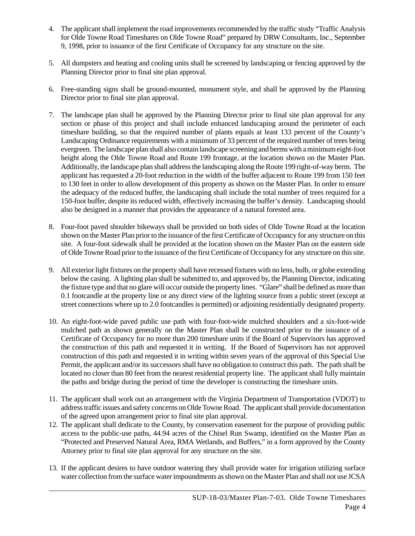- 4. The applicant shall implement the road improvements recommended by the traffic study "Traffic Analysis for Olde Towne Road Timeshares on Olde Towne Road" prepared by DRW Consultants, Inc., September 9, 1998, prior to issuance of the first Certificate of Occupancy for any structure on the site.
- 5. All dumpsters and heating and cooling units shall be screened by landscaping or fencing approved by the Planning Director prior to final site plan approval.
- 6. Free-standing signs shall be ground-mounted, monument style, and shall be approved by the Planning Director prior to final site plan approval.
- 7. The landscape plan shall be approved by the Planning Director prior to final site plan approval for any section or phase of this project and shall include enhanced landscaping around the perimeter of each timeshare building, so that the required number of plants equals at least 133 percent of the County's Landscaping Ordinance requirements with a minimum of 33 percent of the required number of trees being evergreen. The landscape plan shall also contain landscape screening and berms with a minimum eight-foot height along the Olde Towne Road and Route 199 frontage, at the location shown on the Master Plan. Additionally, the landscape plan shall address the landscaping along the Route 199 right-of-way berm. The applicant has requested a 20-foot reduction in the width of the buffer adjacent to Route 199 from 150 feet to 130 feet in order to allow development of this property as shown on the Master Plan. In order to ensure the adequacy of the reduced buffer, the landscaping shall include the total number of trees required for a 150-foot buffer, despite its reduced width, effectively increasing the buffer's density. Landscaping should also be designed in a manner that provides the appearance of a natural forested area.
- 8. Four-foot paved shoulder bikeways shall be provided on both sides of Olde Towne Road at the location shown on the Master Plan prior to the issuance of the first Certificate of Occupancy for any structure on this site. A four-foot sidewalk shall be provided at the location shown on the Master Plan on the eastern side of Olde Towne Road prior to the issuance of the first Certificate of Occupancy for any structure on this site.
- 9. All exterior light fixtures on the property shall have recessed fixtures with no lens, bulb, or globe extending below the casing. A lighting plan shall be submitted to, and approved by, the Planning Director, indicating the fixture type and that no glare will occur outside the property lines. "Glare" shall be defined as more than 0.1 footcandle at the property line or any direct view of the lighting source from a public street (except at street connections where up to 2.0 footcandles is permitted) or adjoining residentially designated property.
- 10. An eight-foot-wide paved public use path with four-foot-wide mulched shoulders and a six-foot-wide mulched path as shown generally on the Master Plan shall be constructed prior to the issuance of a Certificate of Occupancy for no more than 200 timeshare units if the Board of Supervisors has approved the construction of this path and requested it in writing. If the Board of Supervisors has not approved construction of this path and requested it in writing within seven years of the approval of this Special Use Permit, the applicant and/or its successors shall have no obligation to construct this path. The path shall be located no closer than 80 feet from the nearest residential property line. The applicant shall fully maintain the paths and bridge during the period of time the developer is constructing the timeshare units.
- 11. The applicant shall work out an arrangement with the Virginia Department of Transportation (VDOT) to address traffic issues and safety concerns on Olde Towne Road. The applicant shall provide documentation of the agreed upon arrangement prior to final site plan approval.
- 12. The applicant shall dedicate to the County, by conservation easement for the purpose of providing public access to the public-use paths, 44.94 acres of the Chisel Run Swamp, identified on the Master Plan as "Protected and Preserved Natural Area, RMA Wetlands, and Buffers," in a form approved by the County Attorney prior to final site plan approval for any structure on the site.
- 13. If the applicant desires to have outdoor watering they shall provide water for irrigation utilizing surface water collection from the surface water impoundments as shown on the Master Plan and shall not use JCSA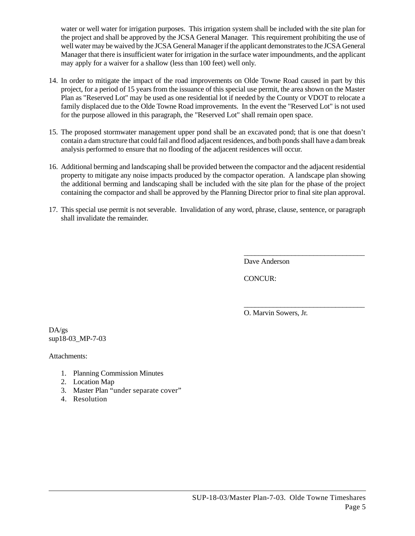water or well water for irrigation purposes. This irrigation system shall be included with the site plan for the project and shall be approved by the JCSA General Manager. This requirement prohibiting the use of well water may be waived by the JCSA General Manager if the applicant demonstrates to the JCSA General Manager that there is insufficient water for irrigation in the surface water impoundments, and the applicant may apply for a waiver for a shallow (less than 100 feet) well only.

- 14. In order to mitigate the impact of the road improvements on Olde Towne Road caused in part by this project, for a period of 15 years from the issuance of this special use permit, the area shown on the Master Plan as "Reserved Lot" may be used as one residential lot if needed by the County or VDOT to relocate a family displaced due to the Olde Towne Road improvements. In the event the "Reserved Lot" is not used for the purpose allowed in this paragraph, the "Reserved Lot" shall remain open space.
- 15. The proposed stormwater management upper pond shall be an excavated pond; that is one that doesn't contain a dam structure that could fail and flood adjacent residences, and both ponds shall have a dam break analysis performed to ensure that no flooding of the adjacent residences will occur.
- 16. Additional berming and landscaping shall be provided between the compactor and the adjacent residential property to mitigate any noise impacts produced by the compactor operation. A landscape plan showing the additional berming and landscaping shall be included with the site plan for the phase of the project containing the compactor and shall be approved by the Planning Director prior to final site plan approval.
- 17. This special use permit is not severable. Invalidation of any word, phrase, clause, sentence, or paragraph shall invalidate the remainder.

Dave Anderson

\_\_\_\_\_\_\_\_\_\_\_\_\_\_\_\_\_\_\_\_\_\_\_\_\_\_\_\_\_\_\_\_\_

\_\_\_\_\_\_\_\_\_\_\_\_\_\_\_\_\_\_\_\_\_\_\_\_\_\_\_\_\_\_\_\_\_

CONCUR:

O. Marvin Sowers, Jr.

DA/gs sup18-03\_MP-7-03

Attachments:

- 1. Planning Commission Minutes
- 2. Location Map
- 3. Master Plan "under separate cover"
- 4. Resolution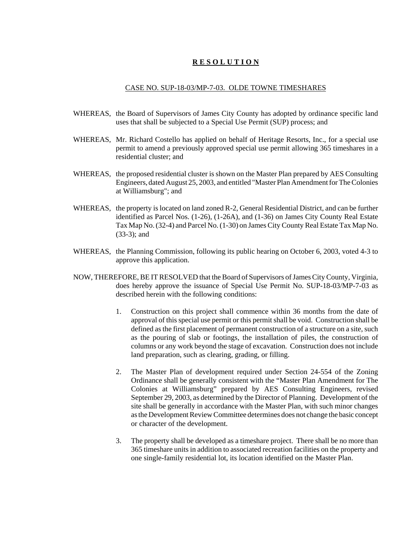#### **R E S O L U T I O N**

#### CASE NO. SUP-18-03/MP-7-03. OLDE TOWNE TIMESHARES

- WHEREAS, the Board of Supervisors of James City County has adopted by ordinance specific land uses that shall be subjected to a Special Use Permit (SUP) process; and
- WHEREAS, Mr. Richard Costello has applied on behalf of Heritage Resorts, Inc., for a special use permit to amend a previously approved special use permit allowing 365 timeshares in a residential cluster; and
- WHEREAS, the proposed residential cluster is shown on the Master Plan prepared by AES Consulting Engineers, dated August 25, 2003, and entitled "Master Plan Amendment for The Colonies at Williamsburg"; and
- WHEREAS, the property is located on land zoned R-2, General Residential District, and can be further identified as Parcel Nos. (1-26), (1-26A), and (1-36) on James City County Real Estate Tax Map No. (32-4) and Parcel No. (1-30) on James City County Real Estate Tax Map No. (33-3); and
- WHEREAS, the Planning Commission, following its public hearing on October 6, 2003, voted 4-3 to approve this application.
- NOW, THEREFORE, BE IT RESOLVED that the Board of Supervisors of James City County, Virginia, does hereby approve the issuance of Special Use Permit No. SUP-18-03/MP-7-03 as described herein with the following conditions:
	- 1. Construction on this project shall commence within 36 months from the date of approval of this special use permit or this permit shall be void. Construction shall be defined as the first placement of permanent construction of a structure on a site, such as the pouring of slab or footings, the installation of piles, the construction of columns or any work beyond the stage of excavation. Construction does not include land preparation, such as clearing, grading, or filling.
	- 2. The Master Plan of development required under Section 24-554 of the Zoning Ordinance shall be generally consistent with the "Master Plan Amendment for The Colonies at Williamsburg" prepared by AES Consulting Engineers, revised September 29, 2003, as determined by the Director of Planning. Development of the site shall be generally in accordance with the Master Plan, with such minor changes as the Development Review Committee determines does not change the basic concept or character of the development.
	- 3. The property shall be developed as a timeshare project. There shall be no more than 365 timeshare units in addition to associated recreation facilities on the property and one single-family residential lot, its location identified on the Master Plan.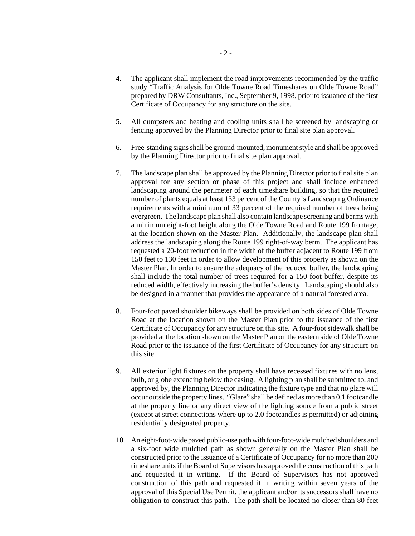- 4. The applicant shall implement the road improvements recommended by the traffic study "Traffic Analysis for Olde Towne Road Timeshares on Olde Towne Road" prepared by DRW Consultants, Inc., September 9, 1998, prior to issuance of the first Certificate of Occupancy for any structure on the site.
- 5. All dumpsters and heating and cooling units shall be screened by landscaping or fencing approved by the Planning Director prior to final site plan approval.
- 6. Free-standing signs shall be ground-mounted, monument style and shall be approved by the Planning Director prior to final site plan approval.
- 7. The landscape plan shall be approved by the Planning Director prior to final site plan approval for any section or phase of this project and shall include enhanced landscaping around the perimeter of each timeshare building, so that the required number of plants equals at least 133 percent of the County's Landscaping Ordinance requirements with a minimum of 33 percent of the required number of trees being evergreen. The landscape plan shall also contain landscape screening and berms with a minimum eight-foot height along the Olde Towne Road and Route 199 frontage, at the location shown on the Master Plan. Additionally, the landscape plan shall address the landscaping along the Route 199 right-of-way berm. The applicant has requested a 20-foot reduction in the width of the buffer adjacent to Route 199 from 150 feet to 130 feet in order to allow development of this property as shown on the Master Plan. In order to ensure the adequacy of the reduced buffer, the landscaping shall include the total number of trees required for a 150-foot buffer, despite its reduced width, effectively increasing the buffer's density. Landscaping should also be designed in a manner that provides the appearance of a natural forested area.
- 8. Four-foot paved shoulder bikeways shall be provided on both sides of Olde Towne Road at the location shown on the Master Plan prior to the issuance of the first Certificate of Occupancy for any structure on this site. A four-foot sidewalk shall be provided at the location shown on the Master Plan on the eastern side of Olde Towne Road prior to the issuance of the first Certificate of Occupancy for any structure on this site.
- 9. All exterior light fixtures on the property shall have recessed fixtures with no lens, bulb, or globe extending below the casing. A lighting plan shall be submitted to, and approved by, the Planning Director indicating the fixture type and that no glare will occur outside the property lines. "Glare" shall be defined as more than 0.1 footcandle at the property line or any direct view of the lighting source from a public street (except at street connections where up to 2.0 footcandles is permitted) or adjoining residentially designated property.
- 10. An eight-foot-wide paved public-use path with four-foot-wide mulched shoulders and a six-foot wide mulched path as shown generally on the Master Plan shall be constructed prior to the issuance of a Certificate of Occupancy for no more than 200 timeshare units if the Board of Supervisors has approved the construction of this path and requested it in writing. If the Board of Supervisors has not approved construction of this path and requested it in writing within seven years of the approval of this Special Use Permit, the applicant and/or its successors shall have no obligation to construct this path. The path shall be located no closer than 80 feet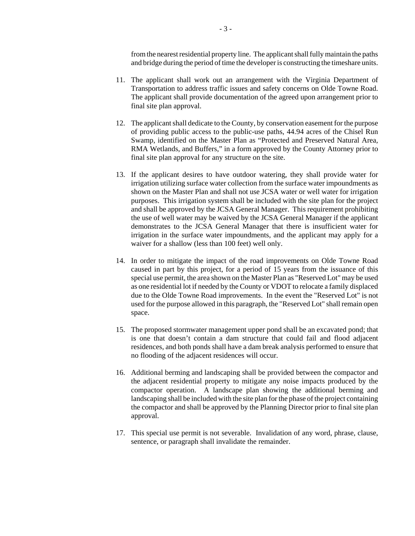from the nearest residential property line. The applicant shall fully maintain the paths and bridge during the period of time the developer is constructing the timeshare units.

- 11. The applicant shall work out an arrangement with the Virginia Department of Transportation to address traffic issues and safety concerns on Olde Towne Road. The applicant shall provide documentation of the agreed upon arrangement prior to final site plan approval.
- 12. The applicant shall dedicate to the County, by conservation easement for the purpose of providing public access to the public-use paths, 44.94 acres of the Chisel Run Swamp, identified on the Master Plan as "Protected and Preserved Natural Area, RMA Wetlands, and Buffers," in a form approved by the County Attorney prior to final site plan approval for any structure on the site.
- 13. If the applicant desires to have outdoor watering, they shall provide water for irrigation utilizing surface water collection from the surface water impoundments as shown on the Master Plan and shall not use JCSA water or well water for irrigation purposes. This irrigation system shall be included with the site plan for the project and shall be approved by the JCSA General Manager. This requirement prohibiting the use of well water may be waived by the JCSA General Manager if the applicant demonstrates to the JCSA General Manager that there is insufficient water for irrigation in the surface water impoundments, and the applicant may apply for a waiver for a shallow (less than 100 feet) well only.
- 14. In order to mitigate the impact of the road improvements on Olde Towne Road caused in part by this project, for a period of 15 years from the issuance of this special use permit, the area shown on the Master Plan as "Reserved Lot" may be used as one residential lot if needed by the County or VDOT to relocate a family displaced due to the Olde Towne Road improvements. In the event the "Reserved Lot" is not used for the purpose allowed in this paragraph, the "Reserved Lot" shall remain open space.
- 15. The proposed stormwater management upper pond shall be an excavated pond; that is one that doesn't contain a dam structure that could fail and flood adjacent residences, and both ponds shall have a dam break analysis performed to ensure that no flooding of the adjacent residences will occur.
- 16. Additional berming and landscaping shall be provided between the compactor and the adjacent residential property to mitigate any noise impacts produced by the compactor operation. A landscape plan showing the additional berming and landscaping shall be included with the site plan for the phase of the project containing the compactor and shall be approved by the Planning Director prior to final site plan approval.
- 17. This special use permit is not severable. Invalidation of any word, phrase, clause, sentence, or paragraph shall invalidate the remainder.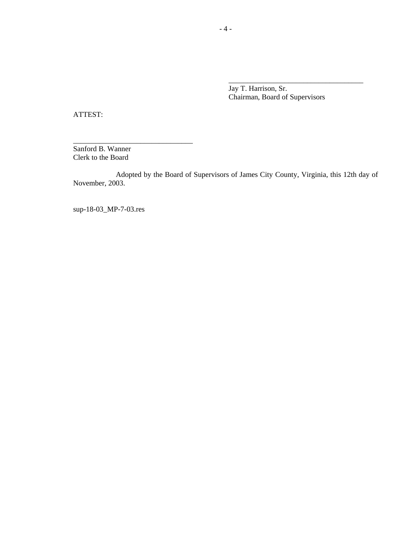Jay T. Harrison, Sr. Chairman, Board of Supervisors

\_\_\_\_\_\_\_\_\_\_\_\_\_\_\_\_\_\_\_\_\_\_\_\_\_\_\_\_\_\_\_\_\_\_\_\_

ATTEST:

Sanford B. Wanner Clerk to the Board

\_\_\_\_\_\_\_\_\_\_\_\_\_\_\_\_\_\_\_\_\_\_\_\_\_\_\_\_\_\_\_\_

Adopted by the Board of Supervisors of James City County, Virginia, this 12th day of November, 2003.

sup-18-03\_MP-7-03.res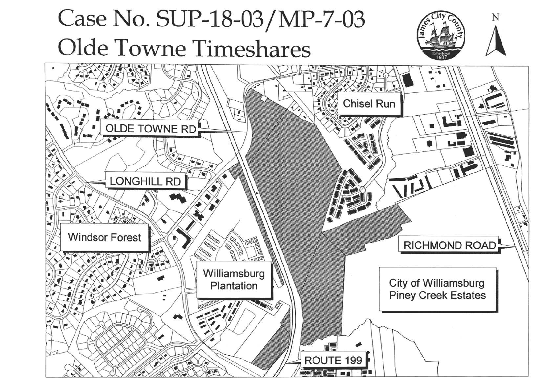# Case No. SUP-18-03/MP-7-03 Olde Towne Timeshares Chisel Run OLDE TOWNE RD LONGHILL RD  $\sqrt{1}$ **Windsor Forest DODO** 一個目 画 Williamsburg Plantation **DESCRIPTION OF**  $\mathbb{R}^4$ ROUTE 199

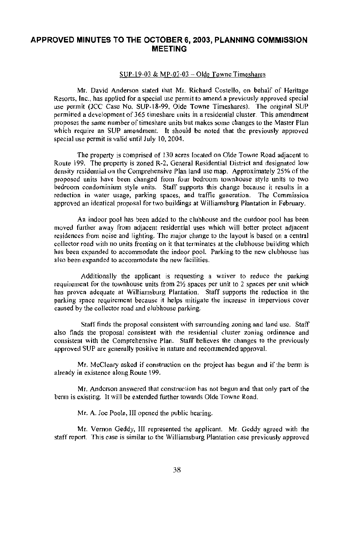## APPROVED MINUTES TO THE OCTOBER 6, 2003, PLANNING COMMISSION **MEETING**

## SUP-19-03 & MP-07-03 - Olde Towne Timeshares

Mr. David Anderson stated that Mr. Richard Costello, on behalf of Heritage Resorts, Inc., has applied for a special use permit to amend a previously approved special use permit (JCC Case No. SUP-18-99, Olde Towne Timeshares). The original SUP permitted a development of 365 timeshare units in a residential cluster. This amendment proposes the same number of timeshare units but makes some changes to the Master Plan which require an SUP amendment. It should be noted that the previously approved special use permit is valid until July 10, 2004.

The property is comprised of 130 acres located on Olde Towne Road adjacent to Route 199. The property is zoned R-2, General Residential District and designated low density residential on the Comprehensive Plan land use map. Approximately 25% of the proposed units have been changed from four bedroom townhouse style units to two bedroom condominium style units. Staff supports this change because it results in a reduction in water usage, parking spaces, and traffic generation. The Commission approved an identical proposal for two buildings at Williamsburg Plantation in February.

An indoor pool has been added to the clubhouse and the outdoor pool has been moved further away from adjacent residential uses which will better protect adjacent residences from noise and lighting. The major change to the layout is based on a central collector road with no units fronting on it that terminates at the clubhouse building which has been expanded to accommodate the indoor pool. Parking to the new clubhouse has also been expanded to accommodate the new facilities.

Additionally the applicant is requesting a waiver to reduce the parking requirement for the townhouse units from 21/2 spaces per unit to 2 spaces per unit which has proven adequate at Williamsburg Plantation. Staff supports the reduction in the parking space requirement because it helps mitigate the increase in impervious cover caused by the collector road and clubhouse parking.

Staff finds the proposal consistent with surrounding zoning and land use. Staff also finds the proposal consistent with the residential cluster zoning ordinance and consistent with the Comprehensive Plan. Staff believes the changes to the previously approved SUP are generally positive in nature and recommended approval.

Mr. McCleary asked if construction on the project has begun and if the berm is already in existence along Route 199.

Mr. Anderson answered that construction has not begun and that only part of the berm is existing. It will be extended further towards Olde Towne Road.

Mr. A. Joe Poole, III opened the public hearing.

Mr. Vernon Geddy, III represented the applicant. Mr. Geddy agreed with the staff report. This case is similar to the Williamsburg Plantation case previously approved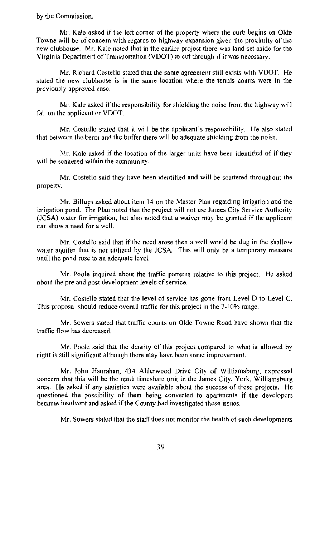by the Commission.

Mr. Kale asked if the left corner of the property where the curb begins on Olde Towne will be of concern with regards to highway expansion given the proximity of the new clubhouse. Mr. Kale noted that in the earlier project there was land set aside for the Virginia Department of Transportation (VDOT) to cut through if it was necessary.

Mr. Richard Costello stated that the same agreement still exists with VDOT. He stated the new clubhouse is in the same location where the tennis courts were in the previously approved case.

Mr. Kale asked if the responsibility for shielding the noise from the highway will fall on the applicant or VDOT.

Mr. Costello stated that it will be the applicant's responsibility. He also stated that between the berm and the buffer there will be adequate shielding from the noise.

Mr. Kale asked if the location of the larger units have been identified of if they will be scattered within the community.

Mr. Costello said they have been identified and will be scattered throughout the property.

Mr. Billups asked about item 14 on the Master Plan regarding irrigation and the irrigation pond. The Plan noted that the project will not use James City Service Authority (JCSA) water for irrigation, but also noted that a waiver may be granted if the applicant can show a need for a well.

Mr. Costello said that if the need arose then a well would be dug in the shallow water aquifer that is not utilized by the JCSA. This will only be a temporary measure until the pond rose to an adequate level.

Mr. Poole inquired about the traffic patterns relative to this project. He asked about the pre and post development levels of service.

Mr. Costello stated that the level of service has gone from Level D to Level C. This proposal should reduce overall traffic for this project in the 7-10% range.

Mr. Sowers stated that traffic counts on Olde Towne Road have shown that the traffic flow has decreased.

Mr. Poole said that the density of this project compared to what is allowed by right is still significant although there may have been some improvement.

Mr. John Hanrahan, 434 Alderwood Drive City of Williamsburg, expressed concern that this will be the tenth timeshare unit in the James City, York, Williamsburg area. He asked if any statistics were available about the success of these projects. He questioned the possibility of them being converted to apartments if the developers became insolvent and asked if the County had investigated these issues.

Mr. Sowers stated that the staff does not monitor the health of such developments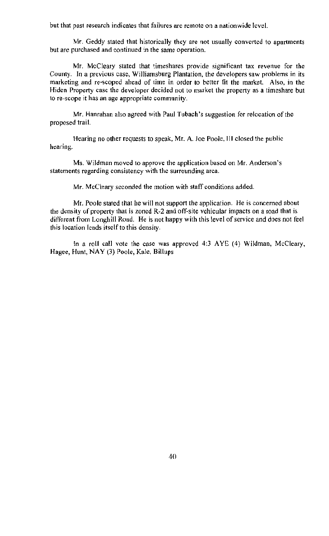but that past research indicates that failures are remote on a nationwide level.

Mr. Geddy stated that historically they are not usually converted to apartments but are purchased and continued in the same operation.

Mr. McCleary stated that timeshares provide significant tax revenue for the County. In a previous case, Williamsburg Plantation, the developers saw problems in its marketing and re-scoped ahead of time in order to better fit the market. Also, in the Hiden Property case the developer decided not to market the property as a timeshare but to re-scope it has an age appropriate community.

Mr. Hanrahan also agreed with Paul Tubach's suggestion for relocation of the proposed trail.

Hearing no other requests to speak, Mr. A. Joe Poole, III closed the public hearing.

Ms. Wildman moved to approve the application based on Mr. Anderson's statements regarding consistency with the surrounding area.

Mr. McCleary seconded the motion with staff conditions added.

Mr. Poole stated that he will not support the application. He is concerned about the density of property that is zoned R-2 and off-site vehicular impacts on a road that is different from Longhill Road. He is not happy with this level of service and does not feel this location lends itself to this density.

In a roll call vote the case was approved  $4:3$  AYE  $(4)$  Wildman, McCleary, Hagee, Hunt, NAY (3) Poole, Kale, Billups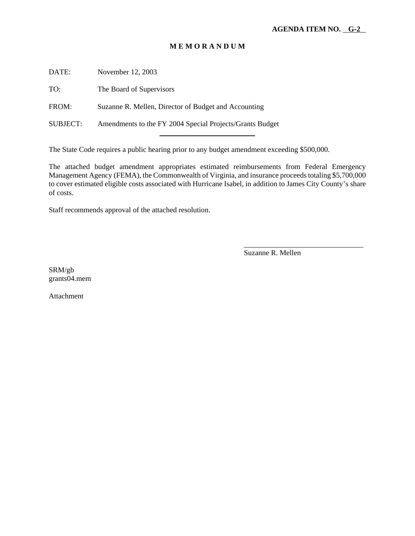#### **M E M O R A N D U M**

DATE: November 12, 2003

TO: The Board of Supervisors

FROM: Suzanne R. Mellen, Director of Budget and Accounting

SUBJECT: Amendments to the FY 2004 Special Projects/Grants Budget l

The State Code requires a public hearing prior to any budget amendment exceeding \$500,000.

The attached budget amendment appropriates estimated reimbursements from Federal Emergency Management Agency (FEMA), the Commonwealth of Virginia, and insurance proceeds totaling \$5,700,000 to cover estimated eligible costs associated with Hurricane Isabel, in addition to James City County's share of costs.

Staff recommends approval of the attached resolution.

Suzanne R. Mellen

\_\_\_\_\_\_\_\_\_\_\_\_\_\_\_\_\_\_\_\_\_\_\_\_\_\_\_\_\_\_\_\_

SRM/gb grants04.mem

Attachment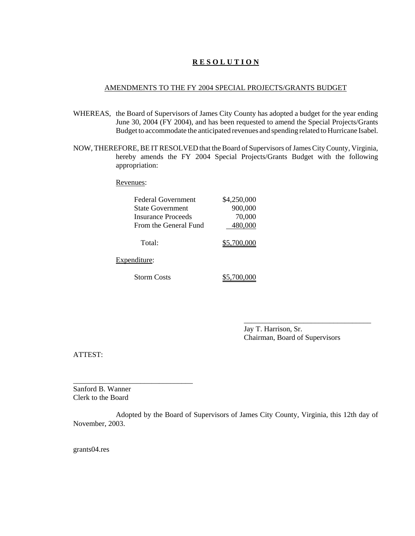#### **R E S O L U T I O N**

#### AMENDMENTS TO THE FY 2004 SPECIAL PROJECTS/GRANTS BUDGET

- WHEREAS, the Board of Supervisors of James City County has adopted a budget for the year ending June 30, 2004 (FY 2004), and has been requested to amend the Special Projects/Grants Budget to accommodate the anticipated revenues and spending related to Hurricane Isabel.
- NOW, THEREFORE, BE IT RESOLVED that the Board of Supervisors of James City County, Virginia, hereby amends the FY 2004 Special Projects/Grants Budget with the following appropriation:

Revenues:

| <b>Federal Government</b> | \$4,250,000 |
|---------------------------|-------------|
| <b>State Government</b>   | 900,000     |
| Insurance Proceeds        | 70,000      |
| From the General Fund     | 480,000     |
| Total:                    | \$5,700,000 |
| Expenditure:              |             |
| <b>Storm Costs</b>        |             |

Jay T. Harrison, Sr. Chairman, Board of Supervisors

\_\_\_\_\_\_\_\_\_\_\_\_\_\_\_\_\_\_\_\_\_\_\_\_\_\_\_\_\_\_\_\_\_\_

ATTEST:

Sanford B. Wanner Clerk to the Board

\_\_\_\_\_\_\_\_\_\_\_\_\_\_\_\_\_\_\_\_\_\_\_\_\_\_\_\_\_\_\_\_

Adopted by the Board of Supervisors of James City County, Virginia, this 12th day of November, 2003.

grants04.res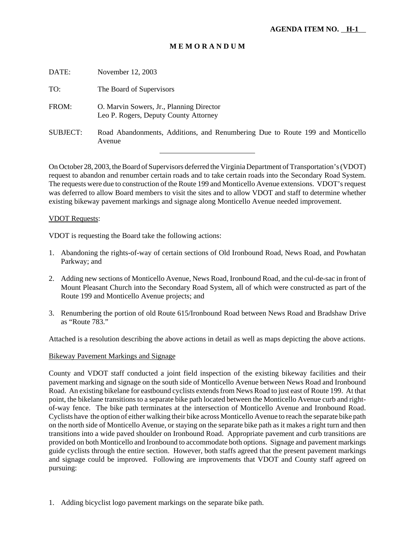#### **M E M O R A N D U M**

| DATE:           | November 12, 2003                                                                       |
|-----------------|-----------------------------------------------------------------------------------------|
| TO:             | The Board of Supervisors                                                                |
| FROM:           | O. Marvin Sowers, Jr., Planning Director<br>Leo P. Rogers, Deputy County Attorney       |
| <b>SUBJECT:</b> | Road Abandonments, Additions, and Renumbering Due to Route 199 and Monticello<br>Avenue |
|                 |                                                                                         |

On October 28, 2003, the Board of Supervisors deferred the Virginia Department of Transportation's (VDOT) request to abandon and renumber certain roads and to take certain roads into the Secondary Road System. The requests were due to construction of the Route 199 and Monticello Avenue extensions. VDOT's request was deferred to allow Board members to visit the sites and to allow VDOT and staff to determine whether existing bikeway pavement markings and signage along Monticello Avenue needed improvement.

#### VDOT Requests:

VDOT is requesting the Board take the following actions:

- 1. Abandoning the rights-of-way of certain sections of Old Ironbound Road, News Road, and Powhatan Parkway; and
- 2. Adding new sections of Monticello Avenue, News Road, Ironbound Road, and the cul-de-sac in front of Mount Pleasant Church into the Secondary Road System, all of which were constructed as part of the Route 199 and Monticello Avenue projects; and
- 3. Renumbering the portion of old Route 615/Ironbound Road between News Road and Bradshaw Drive as "Route 783."

Attached is a resolution describing the above actions in detail as well as maps depicting the above actions.

#### Bikeway Pavement Markings and Signage

County and VDOT staff conducted a joint field inspection of the existing bikeway facilities and their pavement marking and signage on the south side of Monticello Avenue between News Road and Ironbound Road. An existing bikelane for eastbound cyclists extends from News Road to just east of Route 199. At that point, the bikelane transitions to a separate bike path located between the Monticello Avenue curb and rightof-way fence. The bike path terminates at the intersection of Monticello Avenue and Ironbound Road. Cyclists have the option of either walking their bike across Monticello Avenue to reach the separate bike path on the north side of Monticello Avenue, or staying on the separate bike path as it makes a right turn and then transitions into a wide paved shoulder on Ironbound Road. Appropriate pavement and curb transitions are provided on both Monticello and Ironbound to accommodate both options. Signage and pavement markings guide cyclists through the entire section. However, both staffs agreed that the present pavement markings and signage could be improved. Following are improvements that VDOT and County staff agreed on pursuing:

1. Adding bicyclist logo pavement markings on the separate bike path.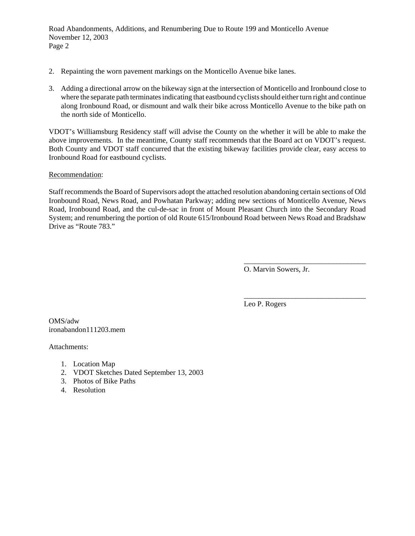Road Abandonments, Additions, and Renumbering Due to Route 199 and Monticello Avenue November 12, 2003 Page 2

- 2. Repainting the worn pavement markings on the Monticello Avenue bike lanes.
- 3. Adding a directional arrow on the bikeway sign at the intersection of Monticello and Ironbound close to where the separate path terminates indicating that eastbound cyclists should either turn right and continue along Ironbound Road, or dismount and walk their bike across Monticello Avenue to the bike path on the north side of Monticello.

VDOT's Williamsburg Residency staff will advise the County on the whether it will be able to make the above improvements. In the meantime, County staff recommends that the Board act on VDOT's request. Both County and VDOT staff concurred that the existing bikeway facilities provide clear, easy access to Ironbound Road for eastbound cyclists.

Recommendation:

Staff recommends the Board of Supervisors adopt the attached resolution abandoning certain sections of Old Ironbound Road, News Road, and Powhatan Parkway; adding new sections of Monticello Avenue, News Road, Ironbound Road, and the cul-de-sac in front of Mount Pleasant Church into the Secondary Road System; and renumbering the portion of old Route 615/Ironbound Road between News Road and Bradshaw Drive as "Route 783."

O. Marvin Sowers, Jr.

\_\_\_\_\_\_\_\_\_\_\_\_\_\_\_\_\_\_\_\_\_\_\_\_\_\_\_\_\_\_\_\_\_

\_\_\_\_\_\_\_\_\_\_\_\_\_\_\_\_\_\_\_\_\_\_\_\_\_\_\_\_\_\_\_\_\_

Leo P. Rogers

OMS/adw ironabandon111203.mem

Attachments:

- 1. Location Map
- 2. VDOT Sketches Dated September 13, 2003
- 3. Photos of Bike Paths
- 4. Resolution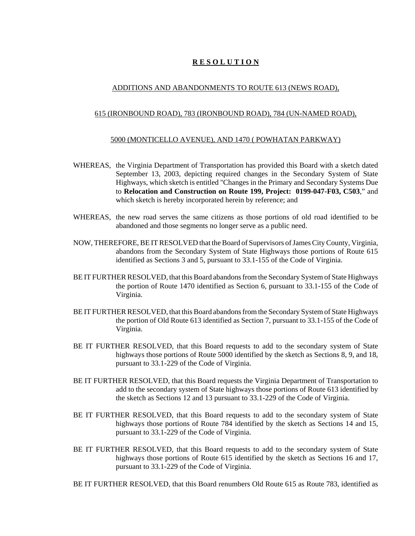#### **R E S O L U T I O N**

#### ADDITIONS AND ABANDONMENTS TO ROUTE 613 (NEWS ROAD),

#### 615 (IRONBOUND ROAD), 783 (IRONBOUND ROAD), 784 (UN-NAMED ROAD),

#### 5000 (MONTICELLO AVENUE), AND 1470 ( POWHATAN PARKWAY)

- WHEREAS, the Virginia Department of Transportation has provided this Board with a sketch dated September 13, 2003, depicting required changes in the Secondary System of State Highways, which sketch is entitled "Changes in the Primary and Secondary Systems Due to **Relocation and Construction on Route 199, Project: 0199-047-F03, C503**," and which sketch is hereby incorporated herein by reference; and
- WHEREAS, the new road serves the same citizens as those portions of old road identified to be abandoned and those segments no longer serve as a public need.
- NOW, THEREFORE, BE IT RESOLVED that the Board of Supervisors of James City County, Virginia, abandons from the Secondary System of State Highways those portions of Route 615 identified as Sections 3 and 5, pursuant to 33.1-155 of the Code of Virginia.
- BE IT FURTHER RESOLVED, that this Board abandons from the Secondary System of State Highways the portion of Route 1470 identified as Section 6, pursuant to 33.1-155 of the Code of Virginia.
- BE IT FURTHER RESOLVED, that this Board abandons from the Secondary System of State Highways the portion of Old Route 613 identified as Section 7, pursuant to 33.1-155 of the Code of Virginia.
- BE IT FURTHER RESOLVED, that this Board requests to add to the secondary system of State highways those portions of Route 5000 identified by the sketch as Sections 8, 9, and 18, pursuant to 33.1-229 of the Code of Virginia.
- BE IT FURTHER RESOLVED, that this Board requests the Virginia Department of Transportation to add to the secondary system of State highways those portions of Route 613 identified by the sketch as Sections 12 and 13 pursuant to 33.1-229 of the Code of Virginia.
- BE IT FURTHER RESOLVED, that this Board requests to add to the secondary system of State highways those portions of Route 784 identified by the sketch as Sections 14 and 15, pursuant to 33.1-229 of the Code of Virginia.
- BE IT FURTHER RESOLVED, that this Board requests to add to the secondary system of State highways those portions of Route 615 identified by the sketch as Sections 16 and 17, pursuant to 33.1-229 of the Code of Virginia.

BE IT FURTHER RESOLVED, that this Board renumbers Old Route 615 as Route 783, identified as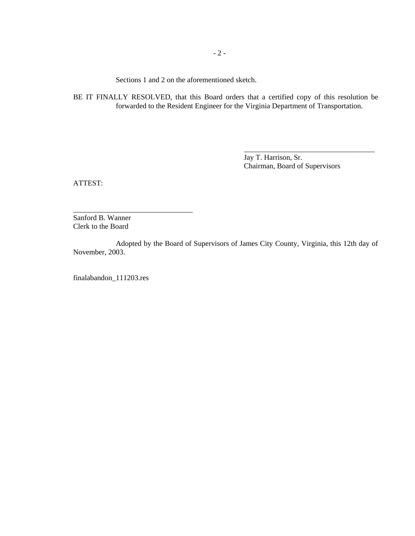Sections 1 and 2 on the aforementioned sketch.

BE IT FINALLY RESOLVED, that this Board orders that a certified copy of this resolution be forwarded to the Resident Engineer for the Virginia Department of Transportation.

> Jay T. Harrison, Sr. Chairman, Board of Supervisors

\_\_\_\_\_\_\_\_\_\_\_\_\_\_\_\_\_\_\_\_\_\_\_\_\_\_\_\_\_\_\_\_\_\_\_

ATTEST:

Sanford B. Wanner Clerk to the Board

\_\_\_\_\_\_\_\_\_\_\_\_\_\_\_\_\_\_\_\_\_\_\_\_\_\_\_\_\_\_\_\_

Adopted by the Board of Supervisors of James City County, Virginia, this 12th day of November, 2003.

finalabandon\_111203.res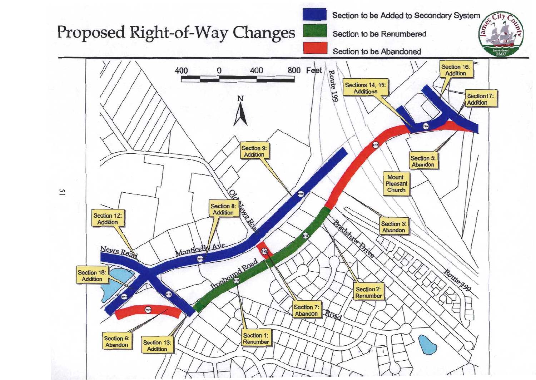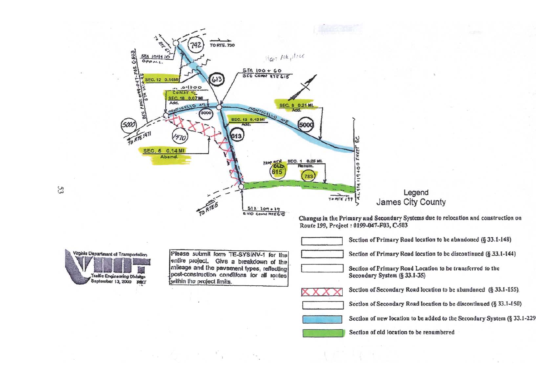

Section of new location to be added to the Secondary System (§ 33.1-229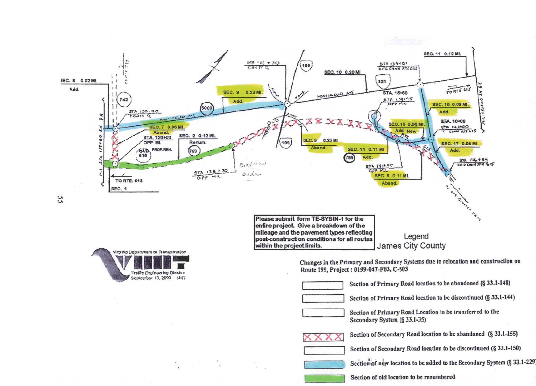



15

Please submit form TE-SYSIN-1 for the entire project. Give a breakdown of the mileage and the pavement types reflecting post-construction conditions for all routes within the project limits.

Legend James City County

Changes in the Primary and Secondary Systems due to relocation and construction on Route 199, Project : 0199-047-F03, C-503



Section of Primary Road location to be abandoned (§ 33.1-148)



Section of Primary Road location to be discontinued (§ 33.1-144)



Section of Primary Road Location to be transferred to the Secondary System (§ 33.1-35)



Section of Secondary Road location to be abandoned (§ 33.1-155). Section of Secondary Road location to be discontinued (§ 33.1-150) Section of new location to be added to the Secondary System (§ 33.1-229 Section of old location to be renumbered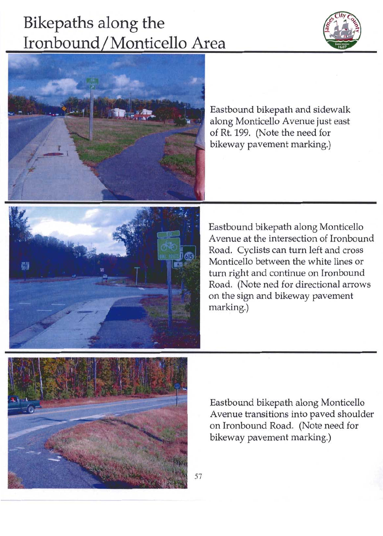# Bikepaths along the Ironbound/Monticello Area





Eastbound bikepath and sidewalk along Monticello Avenue just east of Rt. 199. (Note the need for bikeway pavement marking.)



Eastbound bikepath along Monticello Avenue at the intersection of Ironbound Road. Cyclists can turn left and cross Monticello between the white lines or turn right and continue on Ironbound Road. (Note ned for directional arrows on the sign and bikeway pavement marking.)



Eastbound bikepath along Monticello Avenue transitions into paved shoulder on Ironbound Road. (Note need for bikeway pavement marking.)